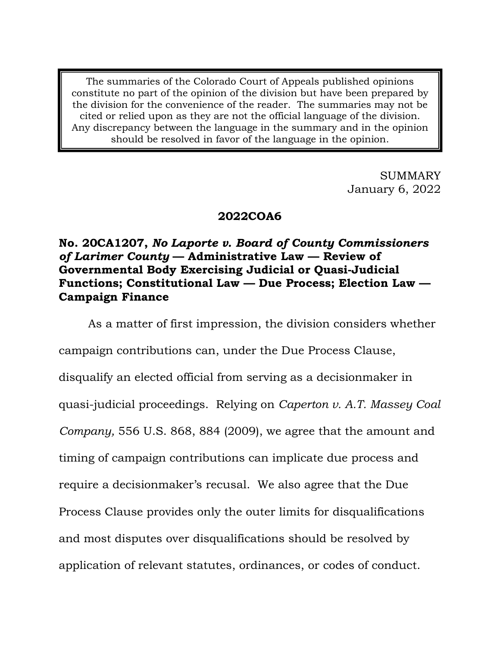The summaries of the Colorado Court of Appeals published opinions constitute no part of the opinion of the division but have been prepared by the division for the convenience of the reader. The summaries may not be cited or relied upon as they are not the official language of the division. Any discrepancy between the language in the summary and in the opinion should be resolved in favor of the language in the opinion.

> SUMMARY January 6, 2022

# **2022COA6**

# **No. 20CA1207,** *No Laporte v. Board of County Commissioners of Larimer County* **— Administrative Law — Review of Governmental Body Exercising Judicial or Quasi-Judicial Functions; Constitutional Law — Due Process; Election Law — Campaign Finance**

As a matter of first impression, the division considers whether campaign contributions can, under the Due Process Clause, disqualify an elected official from serving as a decisionmaker in quasi-judicial proceedings. Relying on *Caperton v. A.T. Massey Coal Company,* 556 U.S. 868, 884 (2009), we agree that the amount and timing of campaign contributions can implicate due process and require a decisionmaker's recusal. We also agree that the Due Process Clause provides only the outer limits for disqualifications and most disputes over disqualifications should be resolved by application of relevant statutes, ordinances, or codes of conduct.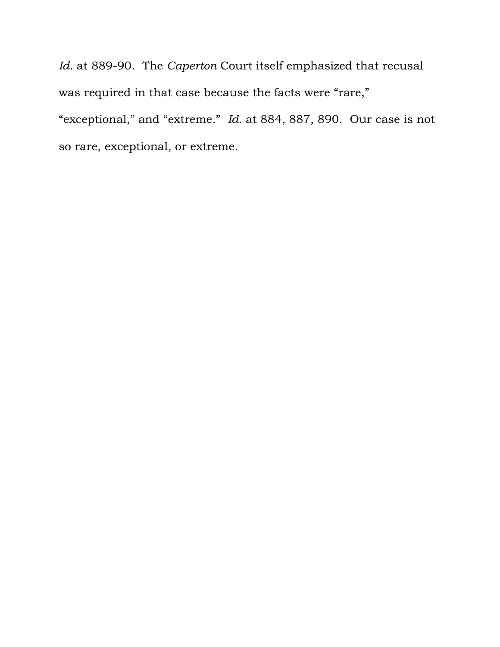*Id.* at 889-90. The *Caperton* Court itself emphasized that recusal was required in that case because the facts were "rare," "exceptional," and "extreme." *Id.* at 884, 887, 890. Our case is not so rare, exceptional, or extreme.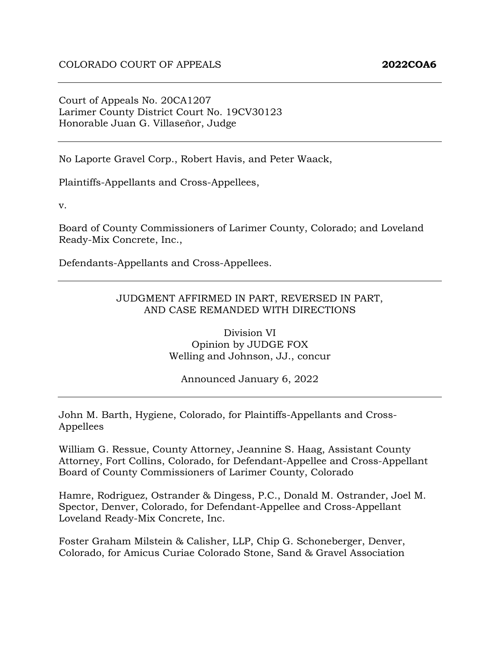Court of Appeals No. 20CA1207 Larimer County District Court No. 19CV30123 Honorable Juan G. Villaseñor, Judge

No Laporte Gravel Corp., Robert Havis, and Peter Waack,

Plaintiffs-Appellants and Cross-Appellees,

v.

Board of County Commissioners of Larimer County, Colorado; and Loveland Ready-Mix Concrete, Inc.,

Defendants-Appellants and Cross-Appellees.

#### JUDGMENT AFFIRMED IN PART, REVERSED IN PART, AND CASE REMANDED WITH DIRECTIONS

Division VI Opinion by JUDGE FOX Welling and Johnson, JJ., concur

Announced January 6, 2022

John M. Barth, Hygiene, Colorado, for Plaintiffs-Appellants and Cross-Appellees

William G. Ressue, County Attorney, Jeannine S. Haag, Assistant County Attorney, Fort Collins, Colorado, for Defendant-Appellee and Cross-Appellant Board of County Commissioners of Larimer County, Colorado

Hamre, Rodriguez, Ostrander & Dingess, P.C., Donald M. Ostrander, Joel M. Spector, Denver, Colorado, for Defendant-Appellee and Cross-Appellant Loveland Ready-Mix Concrete, Inc.

Foster Graham Milstein & Calisher, LLP, Chip G. Schoneberger, Denver, Colorado, for Amicus Curiae Colorado Stone, Sand & Gravel Association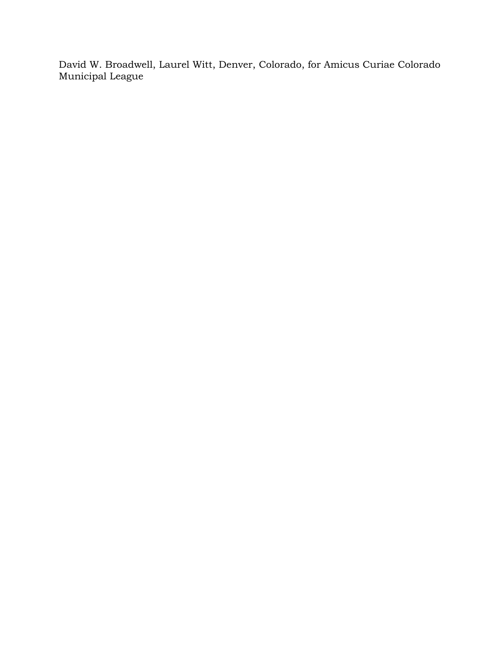David W. Broadwell, Laurel Witt, Denver, Colorado, for Amicus Curiae Colorado Municipal League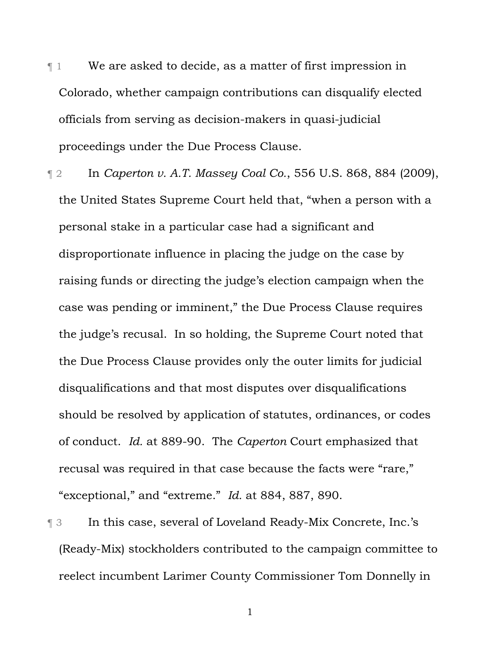¶ 1 We are asked to decide, as a matter of first impression in Colorado, whether campaign contributions can disqualify elected officials from serving as decision-makers in quasi-judicial proceedings under the Due Process Clause.

¶ 2 In *Caperton v. A.T. Massey Coal Co.*, 556 U.S. 868, 884 (2009), the United States Supreme Court held that, "when a person with a personal stake in a particular case had a significant and disproportionate influence in placing the judge on the case by raising funds or directing the judge's election campaign when the case was pending or imminent," the Due Process Clause requires the judge's recusal. In so holding, the Supreme Court noted that the Due Process Clause provides only the outer limits for judicial disqualifications and that most disputes over disqualifications should be resolved by application of statutes, ordinances, or codes of conduct. *Id.* at 889-90. The *Caperton* Court emphasized that recusal was required in that case because the facts were "rare," "exceptional," and "extreme." *Id.* at 884, 887, 890.

¶ 3 In this case, several of Loveland Ready-Mix Concrete, Inc.'s (Ready-Mix) stockholders contributed to the campaign committee to reelect incumbent Larimer County Commissioner Tom Donnelly in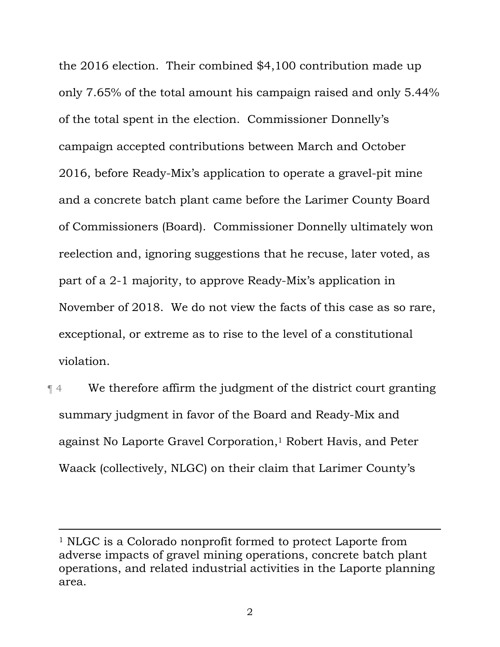the 2016 election. Their combined \$4,100 contribution made up only 7.65% of the total amount his campaign raised and only 5.44% of the total spent in the election. Commissioner Donnelly's campaign accepted contributions between March and October 2016, before Ready-Mix's application to operate a gravel-pit mine and a concrete batch plant came before the Larimer County Board of Commissioners (Board). Commissioner Donnelly ultimately won reelection and, ignoring suggestions that he recuse, later voted, as part of a 2-1 majority, to approve Ready-Mix's application in November of 2018. We do not view the facts of this case as so rare, exceptional, or extreme as to rise to the level of a constitutional violation.

¶ 4 We therefore affirm the judgment of the district court granting summary judgment in favor of the Board and Ready-Mix and against No Laporte Gravel Corporation,<sup>1</sup> Robert Havis, and Peter Waack (collectively, NLGC) on their claim that Larimer County's

<sup>1</sup> NLGC is a Colorado nonprofit formed to protect Laporte from adverse impacts of gravel mining operations, concrete batch plant operations, and related industrial activities in the Laporte planning area.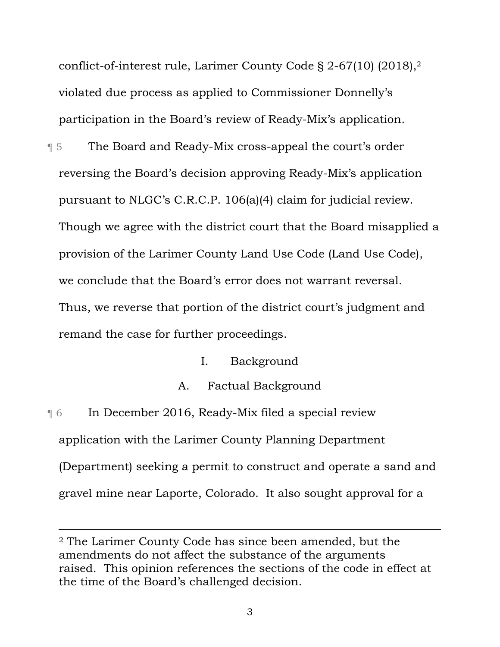conflict-of-interest rule, Larimer County Code § 2-67(10) (2018),2 violated due process as applied to Commissioner Donnelly's participation in the Board's review of Ready-Mix's application.

- ¶ 5 The Board and Ready-Mix cross-appeal the court's order reversing the Board's decision approving Ready-Mix's application pursuant to NLGC's C.R.C.P. 106(a)(4) claim for judicial review. Though we agree with the district court that the Board misapplied a provision of the Larimer County Land Use Code (Land Use Code), we conclude that the Board's error does not warrant reversal. Thus, we reverse that portion of the district court's judgment and remand the case for further proceedings.
	- I. Background
	- A. Factual Background
- ¶ 6 In December 2016, Ready-Mix filed a special review application with the Larimer County Planning Department (Department) seeking a permit to construct and operate a sand and gravel mine near Laporte, Colorado. It also sought approval for a

<sup>2</sup> The Larimer County Code has since been amended, but the amendments do not affect the substance of the arguments raised. This opinion references the sections of the code in effect at the time of the Board's challenged decision.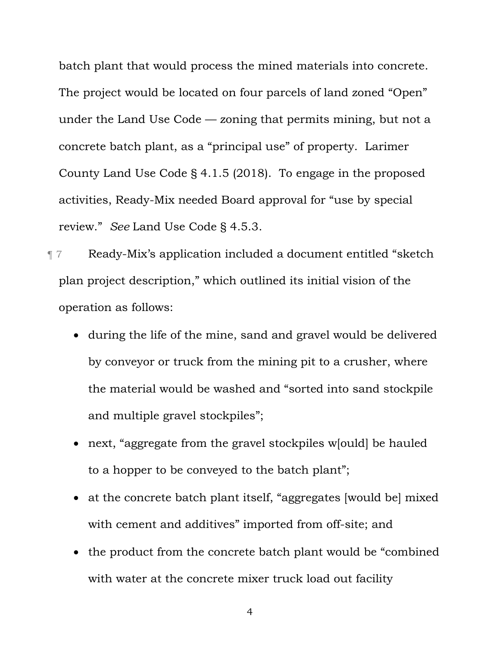batch plant that would process the mined materials into concrete. The project would be located on four parcels of land zoned "Open" under the Land Use Code — zoning that permits mining, but not a concrete batch plant, as a "principal use" of property. Larimer County Land Use Code § 4.1.5 (2018). To engage in the proposed activities, Ready-Mix needed Board approval for "use by special review." *See* Land Use Code § 4.5.3.

¶ 7 Ready-Mix's application included a document entitled "sketch plan project description," which outlined its initial vision of the operation as follows:

- during the life of the mine, sand and gravel would be delivered by conveyor or truck from the mining pit to a crusher, where the material would be washed and "sorted into sand stockpile and multiple gravel stockpiles";
- next, "aggregate from the gravel stockpiles w[ould] be hauled to a hopper to be conveyed to the batch plant";
- at the concrete batch plant itself, "aggregates [would be] mixed with cement and additives" imported from off-site; and
- the product from the concrete batch plant would be "combined with water at the concrete mixer truck load out facility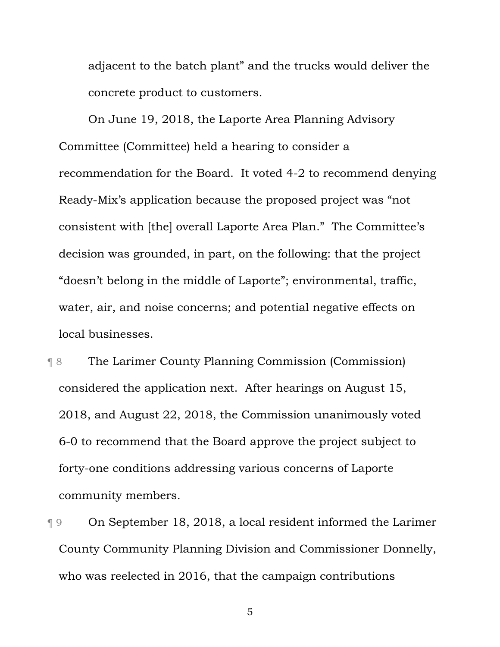adjacent to the batch plant" and the trucks would deliver the concrete product to customers.

On June 19, 2018, the Laporte Area Planning Advisory Committee (Committee) held a hearing to consider a recommendation for the Board. It voted 4-2 to recommend denying Ready-Mix's application because the proposed project was "not consistent with [the] overall Laporte Area Plan." The Committee's decision was grounded, in part, on the following: that the project "doesn't belong in the middle of Laporte"; environmental, traffic, water, air, and noise concerns; and potential negative effects on local businesses.

¶ 8 The Larimer County Planning Commission (Commission) considered the application next. After hearings on August 15, 2018, and August 22, 2018, the Commission unanimously voted 6-0 to recommend that the Board approve the project subject to forty-one conditions addressing various concerns of Laporte community members.

¶ 9 On September 18, 2018, a local resident informed the Larimer County Community Planning Division and Commissioner Donnelly, who was reelected in 2016, that the campaign contributions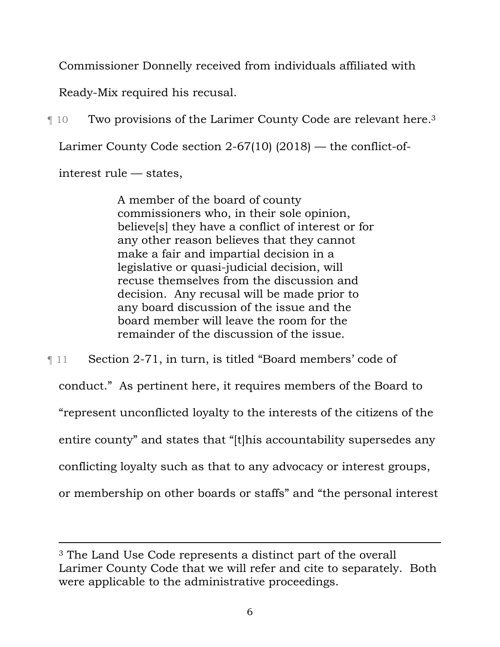Commissioner Donnelly received from individuals affiliated with

Ready-Mix required his recusal.

¶ 10 Two provisions of the Larimer County Code are relevant here.3 Larimer County Code section 2-67(10) (2018) — the conflict-ofinterest rule — states,

> A member of the board of county commissioners who, in their sole opinion, believe[s] they have a conflict of interest or for any other reason believes that they cannot make a fair and impartial decision in a legislative or quasi-judicial decision, will recuse themselves from the discussion and decision. Any recusal will be made prior to any board discussion of the issue and the board member will leave the room for the remainder of the discussion of the issue.

¶ 11 Section 2-71, in turn, is titled "Board members' code of conduct." As pertinent here, it requires members of the Board to "represent unconflicted loyalty to the interests of the citizens of the entire county" and states that "[t]his accountability supersedes any conflicting loyalty such as that to any advocacy or interest groups, or membership on other boards or staffs" and "the personal interest

<sup>3</sup> The Land Use Code represents a distinct part of the overall Larimer County Code that we will refer and cite to separately. Both were applicable to the administrative proceedings.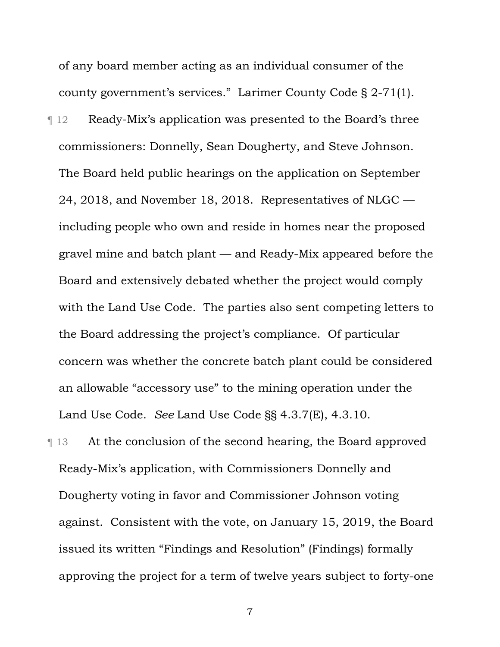of any board member acting as an individual consumer of the county government's services." Larimer County Code § 2-71(1).

¶ 12 Ready-Mix's application was presented to the Board's three commissioners: Donnelly, Sean Dougherty, and Steve Johnson. The Board held public hearings on the application on September 24, 2018, and November 18, 2018. Representatives of NLGC including people who own and reside in homes near the proposed gravel mine and batch plant — and Ready-Mix appeared before the Board and extensively debated whether the project would comply with the Land Use Code. The parties also sent competing letters to the Board addressing the project's compliance. Of particular concern was whether the concrete batch plant could be considered an allowable "accessory use" to the mining operation under the Land Use Code. *See* Land Use Code §§ 4.3.7(E), 4.3.10.

¶ 13 At the conclusion of the second hearing, the Board approved Ready-Mix's application, with Commissioners Donnelly and Dougherty voting in favor and Commissioner Johnson voting against. Consistent with the vote, on January 15, 2019, the Board issued its written "Findings and Resolution" (Findings) formally approving the project for a term of twelve years subject to forty-one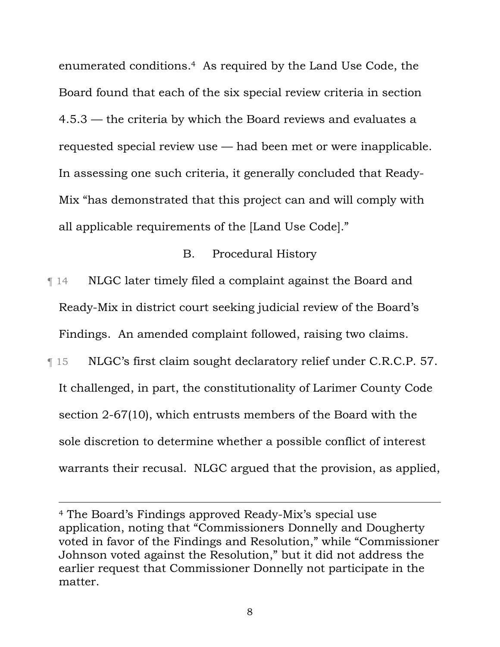enumerated conditions.4 As required by the Land Use Code, the Board found that each of the six special review criteria in section 4.5.3 — the criteria by which the Board reviews and evaluates a requested special review use — had been met or were inapplicable. In assessing one such criteria, it generally concluded that Ready-Mix "has demonstrated that this project can and will comply with all applicable requirements of the [Land Use Code]."

### B. Procedural History

¶ 14 NLGC later timely filed a complaint against the Board and Ready-Mix in district court seeking judicial review of the Board's Findings. An amended complaint followed, raising two claims.

¶ 15 NLGC's first claim sought declaratory relief under C.R.C.P. 57. It challenged, in part, the constitutionality of Larimer County Code section 2-67(10), which entrusts members of the Board with the sole discretion to determine whether a possible conflict of interest warrants their recusal. NLGC argued that the provision, as applied,

<sup>4</sup> The Board's Findings approved Ready-Mix's special use application, noting that "Commissioners Donnelly and Dougherty voted in favor of the Findings and Resolution," while "Commissioner Johnson voted against the Resolution," but it did not address the earlier request that Commissioner Donnelly not participate in the matter.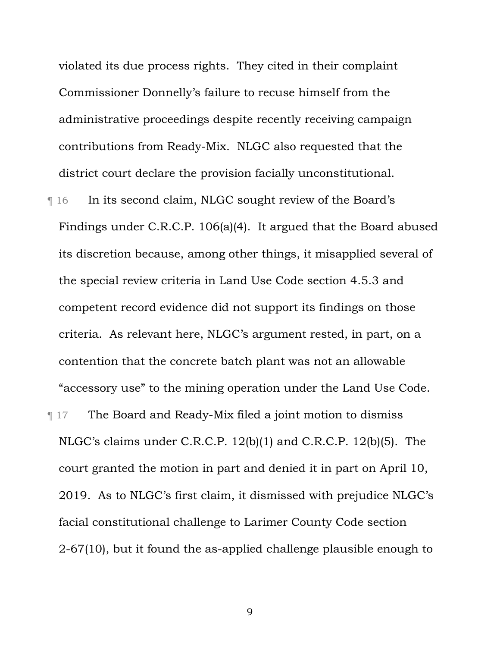violated its due process rights. They cited in their complaint Commissioner Donnelly's failure to recuse himself from the administrative proceedings despite recently receiving campaign contributions from Ready-Mix. NLGC also requested that the district court declare the provision facially unconstitutional.

¶ 16 In its second claim, NLGC sought review of the Board's Findings under C.R.C.P. 106(a)(4). It argued that the Board abused its discretion because, among other things, it misapplied several of the special review criteria in Land Use Code section 4.5.3 and competent record evidence did not support its findings on those criteria. As relevant here, NLGC's argument rested, in part, on a contention that the concrete batch plant was not an allowable "accessory use" to the mining operation under the Land Use Code. ¶ 17 The Board and Ready-Mix filed a joint motion to dismiss NLGC's claims under C.R.C.P. 12(b)(1) and C.R.C.P. 12(b)(5). The court granted the motion in part and denied it in part on April 10, 2019. As to NLGC's first claim, it dismissed with prejudice NLGC's facial constitutional challenge to Larimer County Code section 2-67(10), but it found the as-applied challenge plausible enough to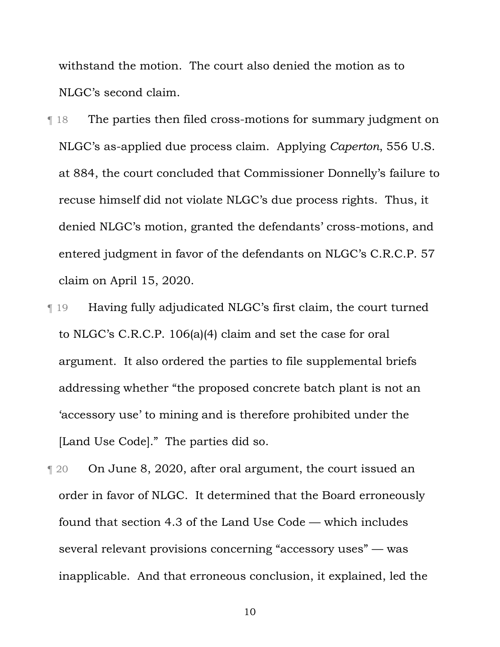withstand the motion. The court also denied the motion as to NLGC's second claim.

- ¶ 18 The parties then filed cross-motions for summary judgment on NLGC's as-applied due process claim. Applying *Caperton*, 556 U.S. at 884, the court concluded that Commissioner Donnelly's failure to recuse himself did not violate NLGC's due process rights. Thus, it denied NLGC's motion, granted the defendants' cross-motions, and entered judgment in favor of the defendants on NLGC's C.R.C.P. 57 claim on April 15, 2020.
- ¶ 19 Having fully adjudicated NLGC's first claim, the court turned to NLGC's C.R.C.P. 106(a)(4) claim and set the case for oral argument. It also ordered the parties to file supplemental briefs addressing whether "the proposed concrete batch plant is not an 'accessory use' to mining and is therefore prohibited under the [Land Use Code]." The parties did so.
- ¶ 20 On June 8, 2020, after oral argument, the court issued an order in favor of NLGC. It determined that the Board erroneously found that section 4.3 of the Land Use Code — which includes several relevant provisions concerning "accessory uses" — was inapplicable. And that erroneous conclusion, it explained, led the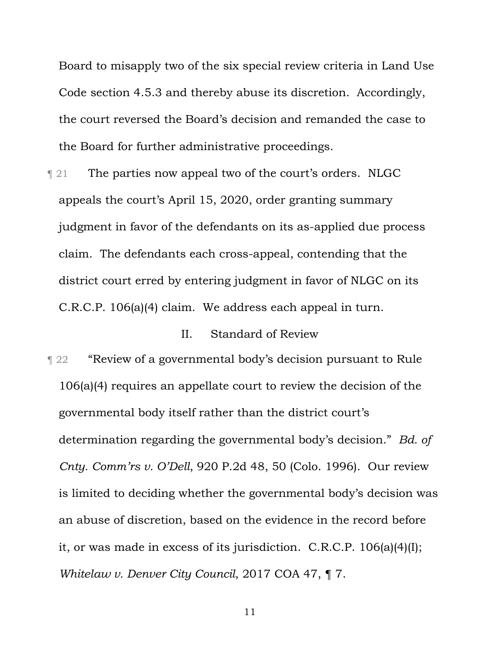Board to misapply two of the six special review criteria in Land Use Code section 4.5.3 and thereby abuse its discretion. Accordingly, the court reversed the Board's decision and remanded the case to the Board for further administrative proceedings.

**The parties now appeal two of the court's orders. NLGC** appeals the court's April 15, 2020, order granting summary judgment in favor of the defendants on its as-applied due process claim. The defendants each cross-appeal, contending that the district court erred by entering judgment in favor of NLGC on its C.R.C.P. 106(a)(4) claim. We address each appeal in turn.

### II. Standard of Review

¶ 22 "Review of a governmental body's decision pursuant to Rule 106(a)(4) requires an appellate court to review the decision of the governmental body itself rather than the district court's determination regarding the governmental body's decision." *Bd. of Cnty. Comm'rs v. O'Dell*, 920 P.2d 48, 50 (Colo. 1996). Our review is limited to deciding whether the governmental body's decision was an abuse of discretion, based on the evidence in the record before it, or was made in excess of its jurisdiction. C.R.C.P. 106(a)(4)(I); *Whitelaw v. Denver City Council*, 2017 COA 47, ¶ 7.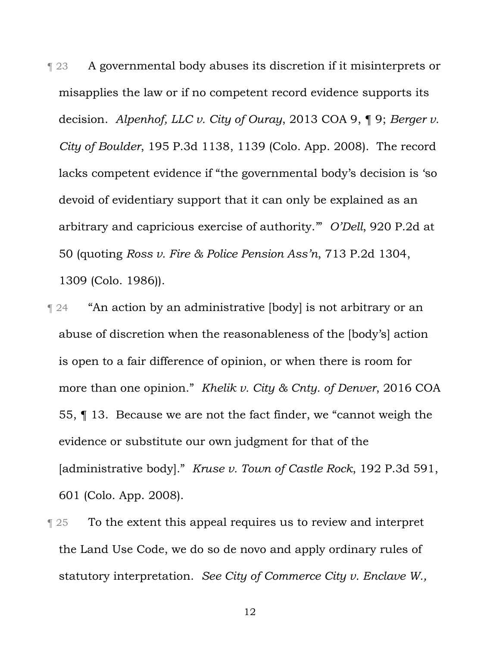¶ 23 A governmental body abuses its discretion if it misinterprets or misapplies the law or if no competent record evidence supports its decision. *Alpenhof, LLC v. City of Ouray*, 2013 COA 9, ¶ 9; *Berger v. City of Boulder*, 195 P.3d 1138, 1139 (Colo. App. 2008). The record lacks competent evidence if "the governmental body's decision is 'so devoid of evidentiary support that it can only be explained as an arbitrary and capricious exercise of authority.'" *O'Dell*, 920 P.2d at 50 (quoting *Ross v. Fire & Police Pension Ass'n*, 713 P.2d 1304, 1309 (Colo. 1986)).

- **T** 24 "An action by an administrative [body] is not arbitrary or an abuse of discretion when the reasonableness of the [body's] action is open to a fair difference of opinion, or when there is room for more than one opinion." *Khelik v. City & Cnty. of Denver*, 2016 COA 55, ¶ 13. Because we are not the fact finder, we "cannot weigh the evidence or substitute our own judgment for that of the [administrative body]." *Kruse v. Town of Castle Rock*, 192 P.3d 591, 601 (Colo. App. 2008).
- **The To the extent this appeal requires us to review and interpret** the Land Use Code, we do so de novo and apply ordinary rules of statutory interpretation. *See City of Commerce City v. Enclave W.,*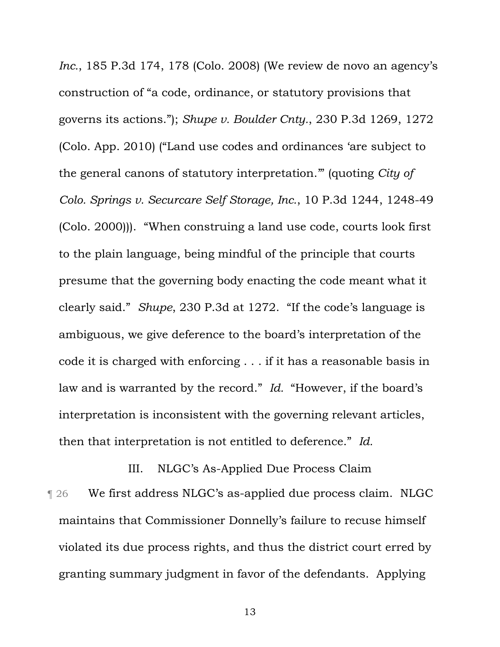*Inc.*, 185 P.3d 174, 178 (Colo. 2008) (We review de novo an agency's construction of "a code, ordinance, or statutory provisions that governs its actions."); *Shupe v. Boulder Cnty.*, 230 P.3d 1269, 1272 (Colo. App. 2010) ("Land use codes and ordinances 'are subject to the general canons of statutory interpretation.'" (quoting *City of Colo. Springs v. Securcare Self Storage, Inc.*, 10 P.3d 1244, 1248-49 (Colo. 2000))). "When construing a land use code, courts look first to the plain language, being mindful of the principle that courts presume that the governing body enacting the code meant what it clearly said." *Shupe*, 230 P.3d at 1272. "If the code's language is ambiguous, we give deference to the board's interpretation of the code it is charged with enforcing . . . if it has a reasonable basis in law and is warranted by the record." *Id.* "However, if the board's interpretation is inconsistent with the governing relevant articles, then that interpretation is not entitled to deference." *Id.* 

III. NLGC's As-Applied Due Process Claim ¶ 26 We first address NLGC's as-applied due process claim. NLGC maintains that Commissioner Donnelly's failure to recuse himself violated its due process rights, and thus the district court erred by granting summary judgment in favor of the defendants. Applying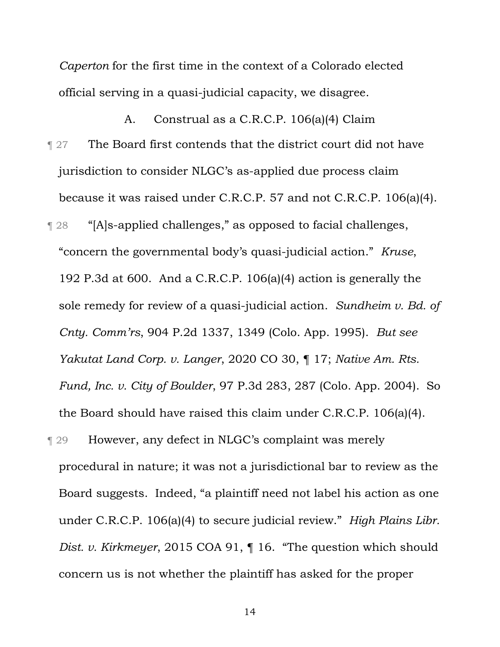*Caperton* for the first time in the context of a Colorado elected official serving in a quasi-judicial capacity, we disagree.

A. Construal as a C.R.C.P. 106(a)(4) Claim **The Board first contends that the district court did not have** jurisdiction to consider NLGC's as-applied due process claim because it was raised under C.R.C.P. 57 and not C.R.C.P. 106(a)(4). ¶ 28 "[A]s-applied challenges," as opposed to facial challenges, "concern the governmental body's quasi-judicial action." *Kruse*, 192 P.3d at 600. And a C.R.C.P. 106(a)(4) action is generally the sole remedy for review of a quasi-judicial action. *Sundheim v. Bd. of Cnty. Comm'rs*, 904 P.2d 1337, 1349 (Colo. App. 1995). *But see Yakutat Land Corp. v. Langer*, 2020 CO 30, ¶ 17; *Native Am. Rts. Fund, Inc. v. City of Boulder*, 97 P.3d 283, 287 (Colo. App. 2004).So the Board should have raised this claim under C.R.C.P. 106(a)(4).

¶ 29 However, any defect in NLGC's complaint was merely procedural in nature; it was not a jurisdictional bar to review as the Board suggests. Indeed, "a plaintiff need not label his action as one under C.R.C.P. 106(a)(4) to secure judicial review." *High Plains Libr. Dist. v. Kirkmeyer*, 2015 COA 91, ¶ 16. "The question which should concern us is not whether the plaintiff has asked for the proper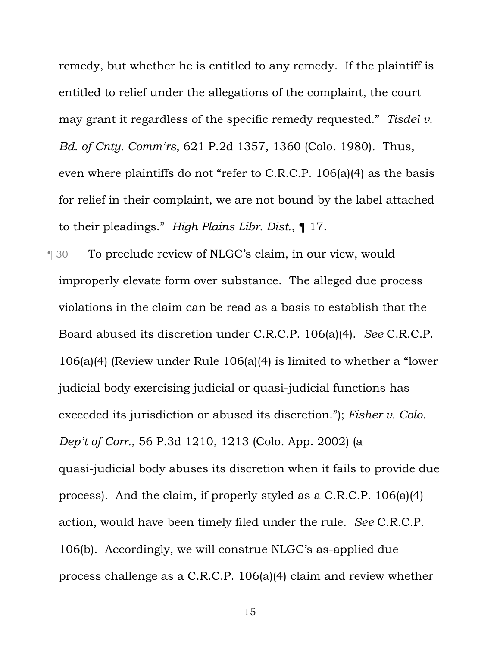remedy, but whether he is entitled to any remedy. If the plaintiff is entitled to relief under the allegations of the complaint, the court may grant it regardless of the specific remedy requested." *Tisdel v. Bd. of Cnty. Comm'rs*, 621 P.2d 1357, 1360 (Colo. 1980). Thus, even where plaintiffs do not "refer to C.R.C.P. 106(a)(4) as the basis for relief in their complaint, we are not bound by the label attached to their pleadings." *High Plains Libr. Dist.*, ¶ 17.

¶ 30 To preclude review of NLGC's claim, in our view, would improperly elevate form over substance. The alleged due process violations in the claim can be read as a basis to establish that the Board abused its discretion under C.R.C.P. 106(a)(4). *See* C.R.C.P. 106(a)(4) (Review under Rule 106(a)(4) is limited to whether a "lower judicial body exercising judicial or quasi-judicial functions has exceeded its jurisdiction or abused its discretion."); *Fisher v. Colo. Dep't of Corr.*, 56 P.3d 1210, 1213 (Colo. App. 2002) (a quasi-judicial body abuses its discretion when it fails to provide due process). And the claim, if properly styled as a C.R.C.P. 106(a)(4) action, would have been timely filed under the rule. *See* C.R.C.P. 106(b). Accordingly, we will construe NLGC's as-applied due process challenge as a C.R.C.P. 106(a)(4) claim and review whether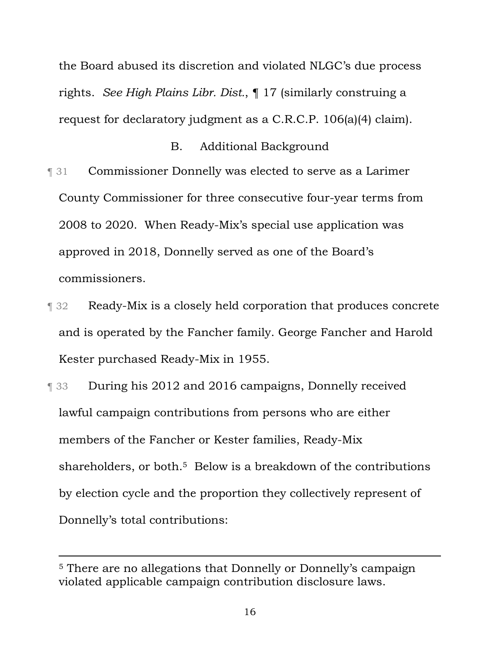the Board abused its discretion and violated NLGC's due process rights. *See High Plains Libr. Dist.*, ¶ 17 (similarly construing a request for declaratory judgment as a C.R.C.P. 106(a)(4) claim).

### B. Additional Background

- ¶ 31 Commissioner Donnelly was elected to serve as a Larimer County Commissioner for three consecutive four-year terms from 2008 to 2020. When Ready-Mix's special use application was approved in 2018, Donnelly served as one of the Board's commissioners.
- ¶ 32 Ready-Mix is a closely held corporation that produces concrete and is operated by the Fancher family. George Fancher and Harold Kester purchased Ready-Mix in 1955.
- ¶ 33 During his 2012 and 2016 campaigns, Donnelly received lawful campaign contributions from persons who are either members of the Fancher or Kester families, Ready-Mix shareholders, or both.<sup>5</sup> Below is a breakdown of the contributions by election cycle and the proportion they collectively represent of Donnelly's total contributions:

<sup>5</sup> There are no allegations that Donnelly or Donnelly's campaign violated applicable campaign contribution disclosure laws.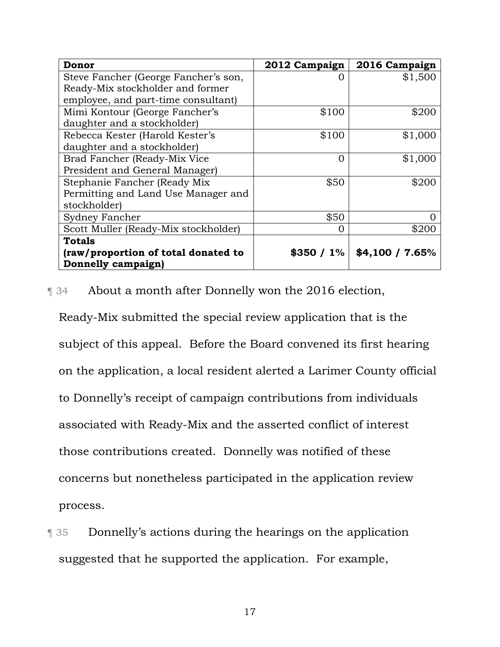| Donor                                | 2012 Campaign | 2016 Campaign     |
|--------------------------------------|---------------|-------------------|
| Steve Fancher (George Fancher's son, |               | \$1,500           |
| Ready-Mix stockholder and former     |               |                   |
| employee, and part-time consultant)  |               |                   |
| Mimi Kontour (George Fancher's       | \$100         | \$200             |
| daughter and a stockholder)          |               |                   |
| Rebecca Kester (Harold Kester's      | \$100         | \$1,000           |
| daughter and a stockholder)          |               |                   |
| Brad Fancher (Ready-Mix Vice         | Ω             | \$1,000           |
| President and General Manager)       |               |                   |
| Stephanie Fancher (Ready Mix         | \$50          | \$200             |
| Permitting and Land Use Manager and  |               |                   |
| stockholder)                         |               |                   |
| <b>Sydney Fancher</b>                | \$50          |                   |
| Scott Muller (Ready-Mix stockholder) | ( )           | \$200             |
| <b>Totals</b>                        |               |                   |
| (raw/proportion of total donated to  | \$350 / 1%    | $$4,100 / 7.65\%$ |
| Donnelly campaign)                   |               |                   |

¶ 34 About a month after Donnelly won the 2016 election,

Ready-Mix submitted the special review application that is the subject of this appeal. Before the Board convened its first hearing on the application, a local resident alerted a Larimer County official to Donnelly's receipt of campaign contributions from individuals associated with Ready-Mix and the asserted conflict of interest those contributions created. Donnelly was notified of these concerns but nonetheless participated in the application review process.

**T** 35 Donnelly's actions during the hearings on the application suggested that he supported the application. For example,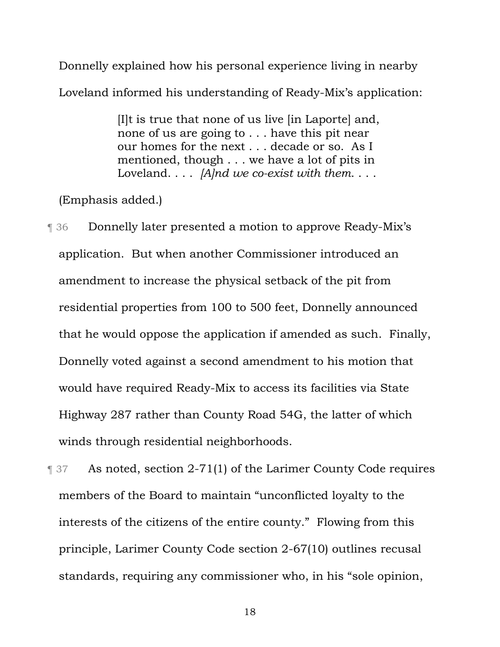Donnelly explained how his personal experience living in nearby Loveland informed his understanding of Ready-Mix's application:

> [I]t is true that none of us live [in Laporte] and, none of us are going to . . . have this pit near our homes for the next . . . decade or so. As I mentioned, though . . . we have a lot of pits in Loveland. . . . *[A]nd we co-exist with them*. . . .

(Emphasis added.)

¶ 36 Donnelly later presented a motion to approve Ready-Mix's application. But when another Commissioner introduced an amendment to increase the physical setback of the pit from residential properties from 100 to 500 feet, Donnelly announced that he would oppose the application if amended as such. Finally, Donnelly voted against a second amendment to his motion that would have required Ready-Mix to access its facilities via State Highway 287 rather than County Road 54G, the latter of which winds through residential neighborhoods.

¶ 37 As noted, section 2-71(1) of the Larimer County Code requires members of the Board to maintain "unconflicted loyalty to the interests of the citizens of the entire county." Flowing from this principle, Larimer County Code section 2-67(10) outlines recusal standards, requiring any commissioner who, in his "sole opinion,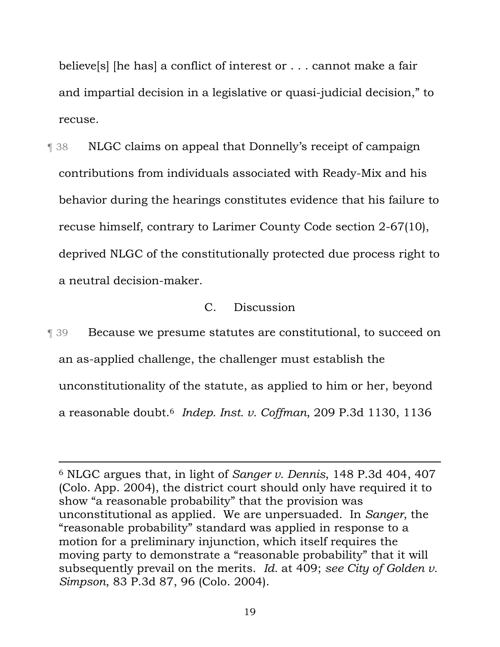believe[s] [he has] a conflict of interest or . . . cannot make a fair and impartial decision in a legislative or quasi-judicial decision," to recuse.

¶ 38 NLGC claims on appeal that Donnelly's receipt of campaign contributions from individuals associated with Ready-Mix and his behavior during the hearings constitutes evidence that his failure to recuse himself, contrary to Larimer County Code section 2-67(10), deprived NLGC of the constitutionally protected due process right to a neutral decision-maker.

## C. Discussion

¶ 39 Because we presume statutes are constitutional, to succeed on an as-applied challenge, the challenger must establish the unconstitutionality of the statute, as applied to him or her, beyond a reasonable doubt.6 *Indep. Inst. v. Coffman*, 209 P.3d 1130, 1136

<sup>6</sup> NLGC argues that, in light of *Sanger v. Dennis*, 148 P.3d 404, 407 (Colo. App. 2004), the district court should only have required it to show "a reasonable probability" that the provision was unconstitutional as applied. We are unpersuaded. In *Sanger*, the "reasonable probability" standard was applied in response to a motion for a preliminary injunction, which itself requires the moving party to demonstrate a "reasonable probability" that it will subsequently prevail on the merits. *Id.* at 409; *see City of Golden v. Simpson*, 83 P.3d 87, 96 (Colo. 2004).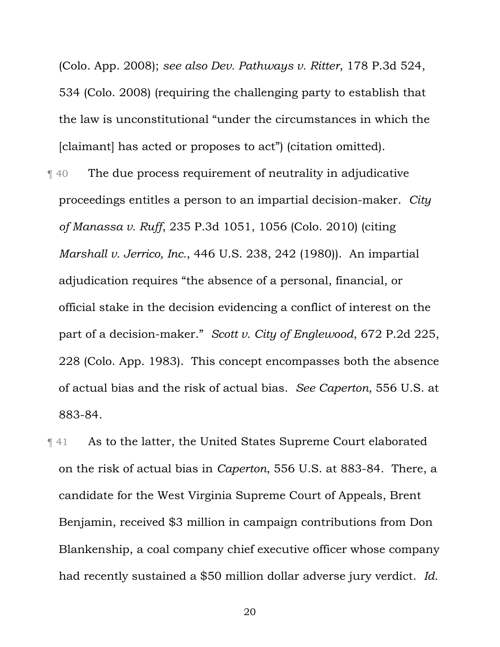(Colo. App. 2008); *see also Dev. Pathways v. Ritter*, 178 P.3d 524, 534 (Colo. 2008) (requiring the challenging party to establish that the law is unconstitutional "under the circumstances in which the [claimant] has acted or proposes to act") (citation omitted).

- ¶ 40 The due process requirement of neutrality in adjudicative proceedings entitles a person to an impartial decision-maker. *City of Manassa v. Ruff*, 235 P.3d 1051, 1056 (Colo. 2010) (citing *Marshall v. Jerrico, Inc.*, 446 U.S. 238, 242 (1980)). An impartial adjudication requires "the absence of a personal, financial, or official stake in the decision evidencing a conflict of interest on the part of a decision-maker." *Scott v. City of Englewood*, 672 P.2d 225, 228 (Colo. App. 1983). This concept encompasses both the absence of actual bias and the risk of actual bias. *See Caperton*, 556 U.S. at 883-84.
- ¶ 41 As to the latter, the United States Supreme Court elaborated on the risk of actual bias in *Caperton*, 556 U.S. at 883-84. There, a candidate for the West Virginia Supreme Court of Appeals, Brent Benjamin, received \$3 million in campaign contributions from Don Blankenship, a coal company chief executive officer whose company had recently sustained a \$50 million dollar adverse jury verdict. *Id.*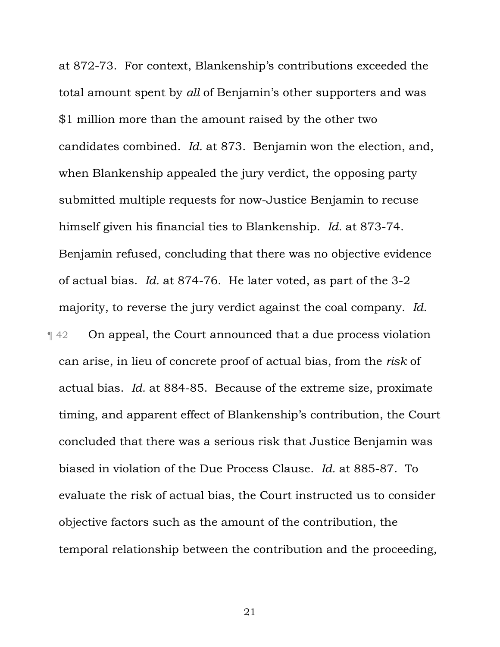at 872-73. For context, Blankenship's contributions exceeded the total amount spent by *all* of Benjamin's other supporters and was \$1 million more than the amount raised by the other two candidates combined. *Id.* at 873. Benjamin won the election, and, when Blankenship appealed the jury verdict, the opposing party submitted multiple requests for now-Justice Benjamin to recuse himself given his financial ties to Blankenship. *Id.* at 873-74. Benjamin refused, concluding that there was no objective evidence of actual bias. *Id.* at 874-76. He later voted, as part of the 3-2 majority, to reverse the jury verdict against the coal company. *Id.* ¶ 42 On appeal, the Court announced that a due process violation can arise, in lieu of concrete proof of actual bias, from the *risk* of actual bias. *Id.* at 884-85. Because of the extreme size, proximate timing, and apparent effect of Blankenship's contribution, the Court concluded that there was a serious risk that Justice Benjamin was biased in violation of the Due Process Clause. *Id.* at 885-87. To evaluate the risk of actual bias, the Court instructed us to consider objective factors such as the amount of the contribution, the temporal relationship between the contribution and the proceeding,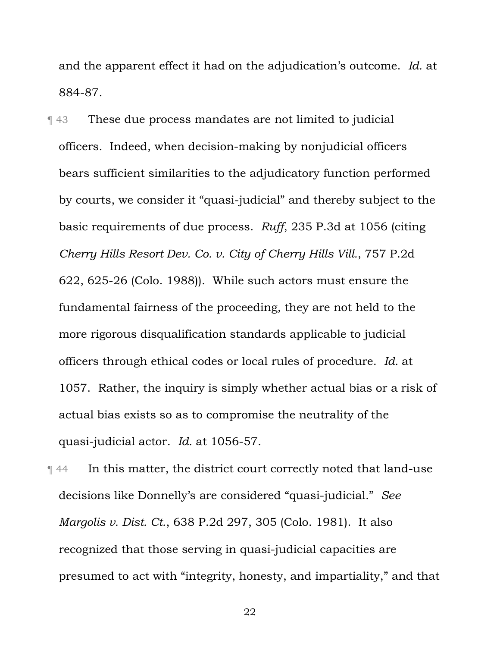and the apparent effect it had on the adjudication's outcome. *Id.* at 884-87.

¶ 43 These due process mandates are not limited to judicial officers. Indeed, when decision-making by nonjudicial officers bears sufficient similarities to the adjudicatory function performed by courts, we consider it "quasi-judicial" and thereby subject to the basic requirements of due process. *Ruff*, 235 P.3d at 1056 (citing *Cherry Hills Resort Dev. Co. v. City of Cherry Hills Vill.*, 757 P.2d 622, 625-26 (Colo. 1988)). While such actors must ensure the fundamental fairness of the proceeding, they are not held to the more rigorous disqualification standards applicable to judicial officers through ethical codes or local rules of procedure. *Id.* at 1057. Rather, the inquiry is simply whether actual bias or a risk of actual bias exists so as to compromise the neutrality of the quasi-judicial actor. *Id.* at 1056-57.

¶ 44 In this matter, the district court correctly noted that land-use decisions like Donnelly's are considered "quasi-judicial." *See Margolis v. Dist. Ct.*, 638 P.2d 297, 305 (Colo. 1981). It also recognized that those serving in quasi-judicial capacities are presumed to act with "integrity, honesty, and impartiality," and that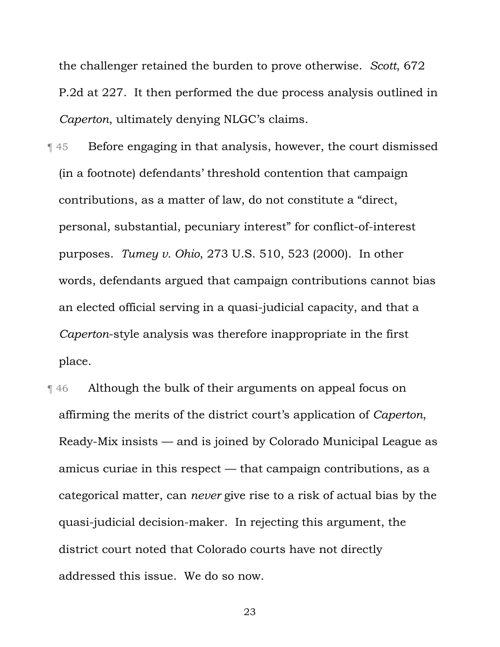the challenger retained the burden to prove otherwise. *Scott*, 672 P.2d at 227. It then performed the due process analysis outlined in *Caperton*, ultimately denying NLGC's claims.

- ¶ 45 Before engaging in that analysis, however, the court dismissed (in a footnote) defendants' threshold contention that campaign contributions, as a matter of law, do not constitute a "direct, personal, substantial, pecuniary interest" for conflict-of-interest purposes. *Tumey v. Ohio*, 273 U.S. 510, 523 (2000). In other words, defendants argued that campaign contributions cannot bias an elected official serving in a quasi-judicial capacity, and that a *Caperton*-style analysis was therefore inappropriate in the first place.
- ¶ 46 Although the bulk of their arguments on appeal focus on affirming the merits of the district court's application of *Caperton*, Ready-Mix insists — and is joined by Colorado Municipal League as amicus curiae in this respect — that campaign contributions, as a categorical matter, can *never* give rise to a risk of actual bias by the quasi-judicial decision-maker. In rejecting this argument, the district court noted that Colorado courts have not directly addressed this issue. We do so now.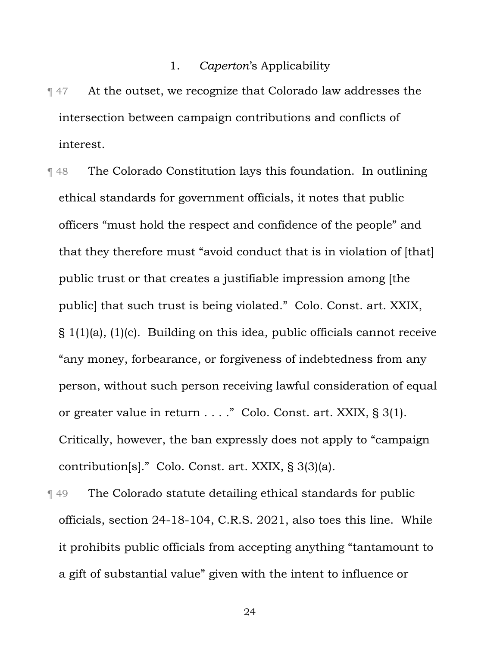### 1. *Caperton*'s Applicability

- ¶ 47 At the outset, we recognize that Colorado law addresses the intersection between campaign contributions and conflicts of interest.
- ¶ 48 The Colorado Constitution lays this foundation. In outlining ethical standards for government officials, it notes that public officers "must hold the respect and confidence of the people" and that they therefore must "avoid conduct that is in violation of [that] public trust or that creates a justifiable impression among [the public] that such trust is being violated." Colo. Const. art. XXIX, § 1(1)(a), (1)(c). Building on this idea, public officials cannot receive "any money, forbearance, or forgiveness of indebtedness from any person, without such person receiving lawful consideration of equal or greater value in return . . . ." Colo. Const. art. XXIX, § 3(1). Critically, however, the ban expressly does not apply to "campaign contribution[s]." Colo. Const. art. XXIX, § 3(3)(a).
- ¶ 49 The Colorado statute detailing ethical standards for public officials, section 24-18-104, C.R.S. 2021, also toes this line. While it prohibits public officials from accepting anything "tantamount to a gift of substantial value" given with the intent to influence or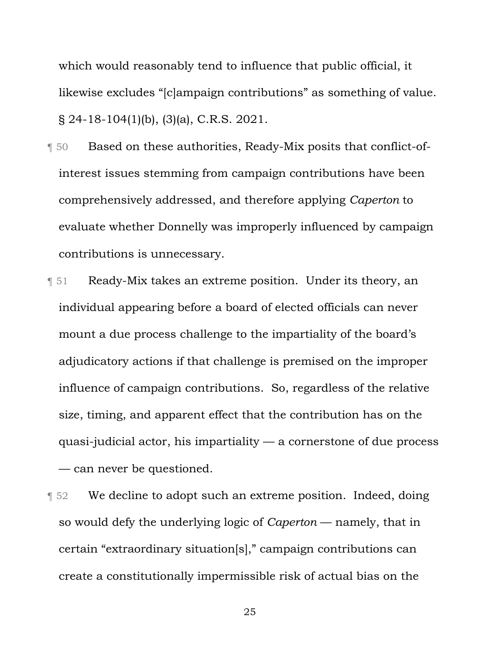which would reasonably tend to influence that public official, it likewise excludes "[c]ampaign contributions" as something of value. § 24-18-104(1)(b), (3)(a), C.R.S. 2021.

- ¶ 50 Based on these authorities, Ready-Mix posits that conflict-ofinterest issues stemming from campaign contributions have been comprehensively addressed, and therefore applying *Caperton* to evaluate whether Donnelly was improperly influenced by campaign contributions is unnecessary.
- ¶ 51 Ready-Mix takes an extreme position. Under its theory, an individual appearing before a board of elected officials can never mount a due process challenge to the impartiality of the board's adjudicatory actions if that challenge is premised on the improper influence of campaign contributions. So, regardless of the relative size, timing, and apparent effect that the contribution has on the quasi-judicial actor, his impartiality — a cornerstone of due process — can never be questioned.
- **T** 52 We decline to adopt such an extreme position. Indeed, doing so would defy the underlying logic of *Caperton* — namely, that in certain "extraordinary situation[s]," campaign contributions can create a constitutionally impermissible risk of actual bias on the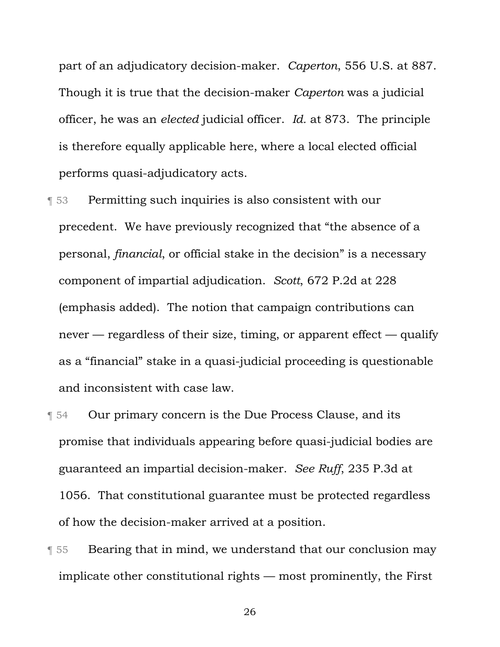part of an adjudicatory decision-maker. *Caperton*, 556 U.S. at 887. Though it is true that the decision-maker *Caperton* was a judicial officer, he was an *elected* judicial officer. *Id.* at 873. The principle is therefore equally applicable here, where a local elected official performs quasi-adjudicatory acts.

- ¶ 53 Permitting such inquiries is also consistent with our precedent. We have previously recognized that "the absence of a personal, *financial*, or official stake in the decision" is a necessary component of impartial adjudication. *Scott*, 672 P.2d at 228 (emphasis added). The notion that campaign contributions can never — regardless of their size, timing, or apparent effect — qualify as a "financial" stake in a quasi-judicial proceeding is questionable and inconsistent with case law.
- **T** 54 Our primary concern is the Due Process Clause, and its promise that individuals appearing before quasi-judicial bodies are guaranteed an impartial decision-maker. *See Ruff*, 235 P.3d at 1056. That constitutional guarantee must be protected regardless of how the decision-maker arrived at a position.
- **Feart** Bearing that in mind, we understand that our conclusion may implicate other constitutional rights — most prominently, the First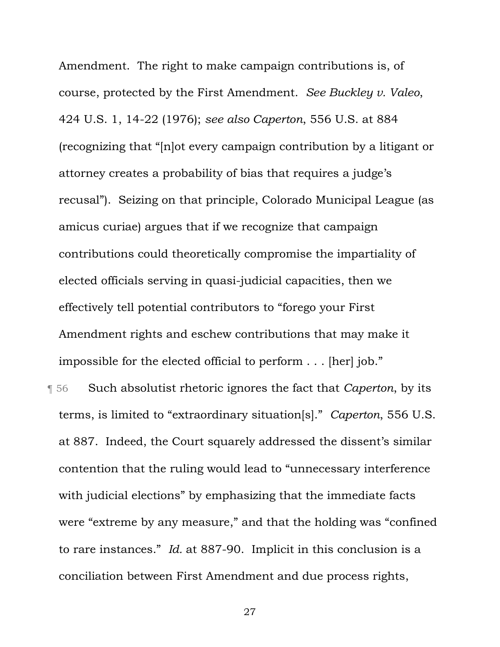Amendment. The right to make campaign contributions is, of course, protected by the First Amendment. *See Buckley v. Valeo*, 424 U.S. 1, 14-22 (1976); *see also Caperton*, 556 U.S. at 884 (recognizing that "[n]ot every campaign contribution by a litigant or attorney creates a probability of bias that requires a judge's recusal"). Seizing on that principle, Colorado Municipal League (as amicus curiae) argues that if we recognize that campaign contributions could theoretically compromise the impartiality of elected officials serving in quasi-judicial capacities, then we effectively tell potential contributors to "forego your First Amendment rights and eschew contributions that may make it impossible for the elected official to perform . . . [her] job."

¶ 56 Such absolutist rhetoric ignores the fact that *Caperton*, by its terms, is limited to "extraordinary situation[s]." *Caperton*, 556 U.S. at 887. Indeed, the Court squarely addressed the dissent's similar contention that the ruling would lead to "unnecessary interference with judicial elections" by emphasizing that the immediate facts were "extreme by any measure," and that the holding was "confined to rare instances." *Id.* at 887-90. Implicit in this conclusion is a conciliation between First Amendment and due process rights,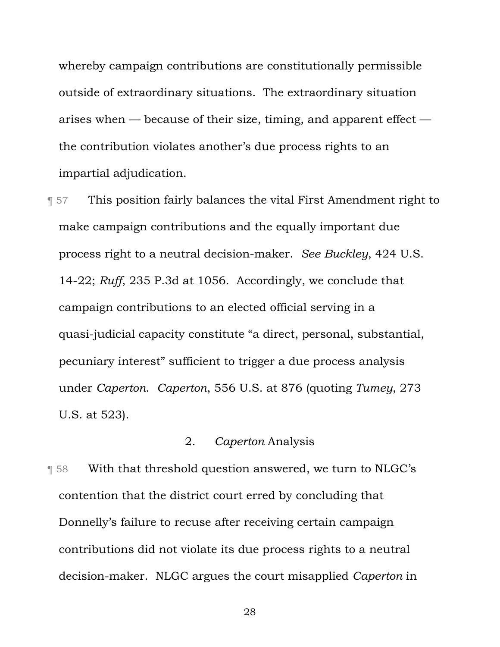whereby campaign contributions are constitutionally permissible outside of extraordinary situations. The extraordinary situation arises when — because of their size, timing, and apparent effect the contribution violates another's due process rights to an impartial adjudication.

¶ 57 This position fairly balances the vital First Amendment right to make campaign contributions and the equally important due process right to a neutral decision-maker. *See Buckley*, 424 U.S. 14-22; *Ruff*, 235 P.3d at 1056. Accordingly, we conclude that campaign contributions to an elected official serving in a quasi-judicial capacity constitute "a direct, personal, substantial, pecuniary interest" sufficient to trigger a due process analysis under *Caperton*. *Caperton*, 556 U.S. at 876 (quoting *Tumey*, 273 U.S. at 523).

# 2. *Caperton* Analysis

¶ 58 With that threshold question answered, we turn to NLGC's contention that the district court erred by concluding that Donnelly's failure to recuse after receiving certain campaign contributions did not violate its due process rights to a neutral decision-maker. NLGC argues the court misapplied *Caperton* in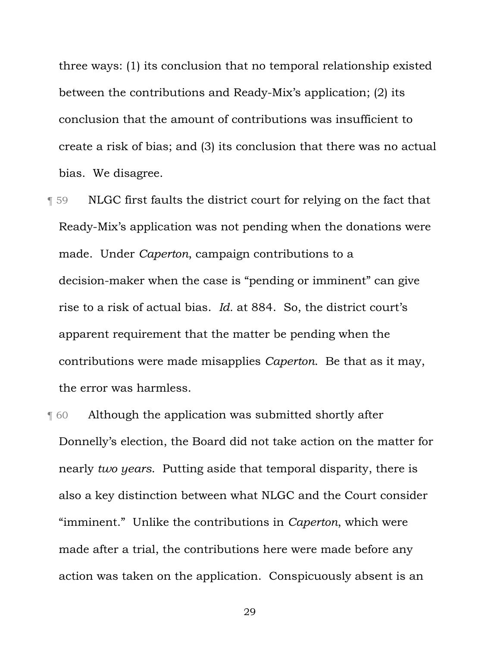three ways: (1) its conclusion that no temporal relationship existed between the contributions and Ready-Mix's application; (2) its conclusion that the amount of contributions was insufficient to create a risk of bias; and (3) its conclusion that there was no actual bias. We disagree.

- ¶ 59 NLGC first faults the district court for relying on the fact that Ready-Mix's application was not pending when the donations were made. Under *Caperton*, campaign contributions to a decision-maker when the case is "pending or imminent" can give rise to a risk of actual bias. *Id.* at 884. So, the district court's apparent requirement that the matter be pending when the contributions were made misapplies *Caperton*. Be that as it may, the error was harmless.
- ¶ 60 Although the application was submitted shortly after Donnelly's election, the Board did not take action on the matter for nearly *two years*. Putting aside that temporal disparity, there is also a key distinction between what NLGC and the Court consider "imminent." Unlike the contributions in *Caperton*, which were made after a trial, the contributions here were made before any action was taken on the application. Conspicuously absent is an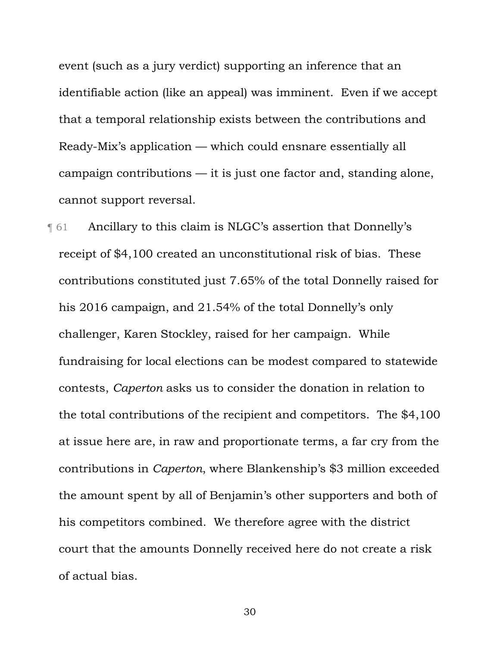event (such as a jury verdict) supporting an inference that an identifiable action (like an appeal) was imminent. Even if we accept that a temporal relationship exists between the contributions and Ready-Mix's application — which could ensnare essentially all campaign contributions — it is just one factor and, standing alone, cannot support reversal.

¶ 61 Ancillary to this claim is NLGC's assertion that Donnelly's receipt of \$4,100 created an unconstitutional risk of bias. These contributions constituted just 7.65% of the total Donnelly raised for his 2016 campaign, and 21.54% of the total Donnelly's only challenger, Karen Stockley, raised for her campaign. While fundraising for local elections can be modest compared to statewide contests, *Caperton* asks us to consider the donation in relation to the total contributions of the recipient and competitors. The \$4,100 at issue here are, in raw and proportionate terms, a far cry from the contributions in *Caperton*, where Blankenship's \$3 million exceeded the amount spent by all of Benjamin's other supporters and both of his competitors combined. We therefore agree with the district court that the amounts Donnelly received here do not create a risk of actual bias.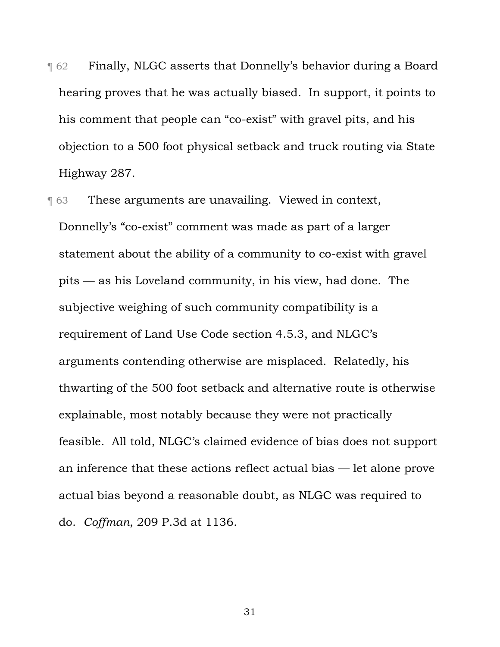**T** 62 Finally, NLGC asserts that Donnelly's behavior during a Board hearing proves that he was actually biased. In support, it points to his comment that people can "co-exist" with gravel pits, and his objection to a 500 foot physical setback and truck routing via State Highway 287.

**These arguments are unavailing. Viewed in context,** Donnelly's "co-exist" comment was made as part of a larger statement about the ability of a community to co-exist with gravel pits — as his Loveland community, in his view, had done. The subjective weighing of such community compatibility is a requirement of Land Use Code section 4.5.3, and NLGC's arguments contending otherwise are misplaced. Relatedly, his thwarting of the 500 foot setback and alternative route is otherwise explainable, most notably because they were not practically feasible. All told, NLGC's claimed evidence of bias does not support an inference that these actions reflect actual bias — let alone prove actual bias beyond a reasonable doubt, as NLGC was required to do. *Coffman*, 209 P.3d at 1136.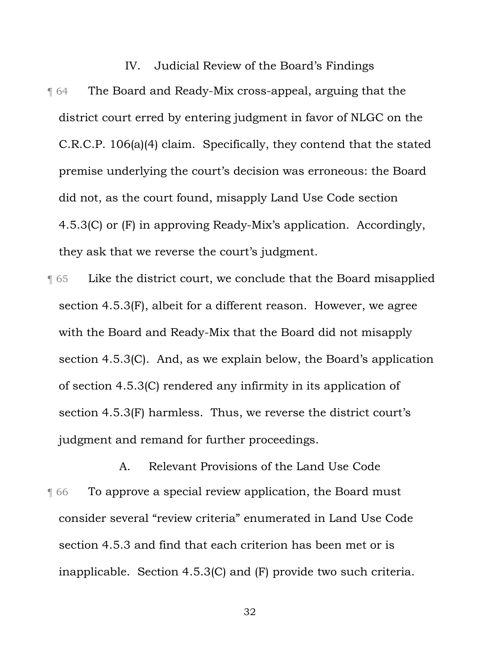IV. Judicial Review of the Board's Findings ¶ 64 The Board and Ready-Mix cross-appeal, arguing that the district court erred by entering judgment in favor of NLGC on the C.R.C.P. 106(a)(4) claim. Specifically, they contend that the stated premise underlying the court's decision was erroneous: the Board did not, as the court found, misapply Land Use Code section 4.5.3(C) or (F) in approving Ready-Mix's application. Accordingly, they ask that we reverse the court's judgment.

¶ 65 Like the district court, we conclude that the Board misapplied section 4.5.3(F), albeit for a different reason. However, we agree with the Board and Ready-Mix that the Board did not misapply section 4.5.3(C). And, as we explain below, the Board's application of section 4.5.3(C) rendered any infirmity in its application of section 4.5.3(F) harmless. Thus, we reverse the district court's judgment and remand for further proceedings.

A. Relevant Provisions of the Land Use Code **Theoreta** To approve a special review application, the Board must consider several "review criteria" enumerated in Land Use Code section 4.5.3 and find that each criterion has been met or is inapplicable. Section 4.5.3(C) and (F) provide two such criteria.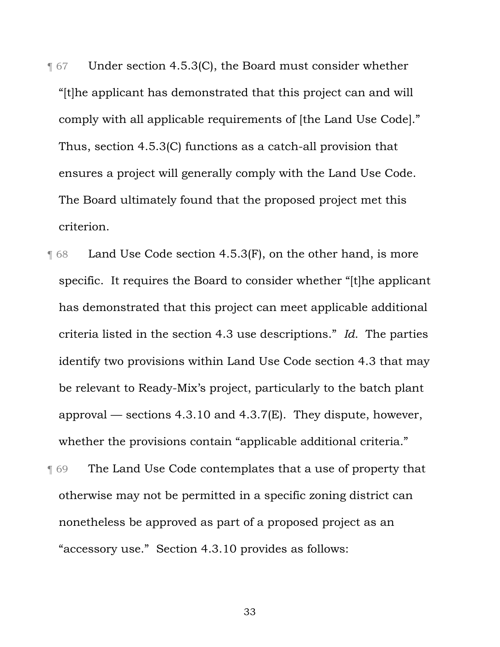**T** 67 Under section 4.5.3(C), the Board must consider whether "[t]he applicant has demonstrated that this project can and will comply with all applicable requirements of [the Land Use Code]." Thus, section 4.5.3(C) functions as a catch-all provision that ensures a project will generally comply with the Land Use Code. The Board ultimately found that the proposed project met this criterion.

- **T** 68 Land Use Code section 4.5.3(F), on the other hand, is more specific. It requires the Board to consider whether "[t]he applicant has demonstrated that this project can meet applicable additional criteria listed in the section 4.3 use descriptions." *Id.* The parties identify two provisions within Land Use Code section 4.3 that may be relevant to Ready-Mix's project, particularly to the batch plant approval — sections  $4.3.10$  and  $4.3.7$ (E). They dispute, however, whether the provisions contain "applicable additional criteria."
- **The Land Use Code contemplates that a use of property that** otherwise may not be permitted in a specific zoning district can nonetheless be approved as part of a proposed project as an "accessory use." Section 4.3.10 provides as follows: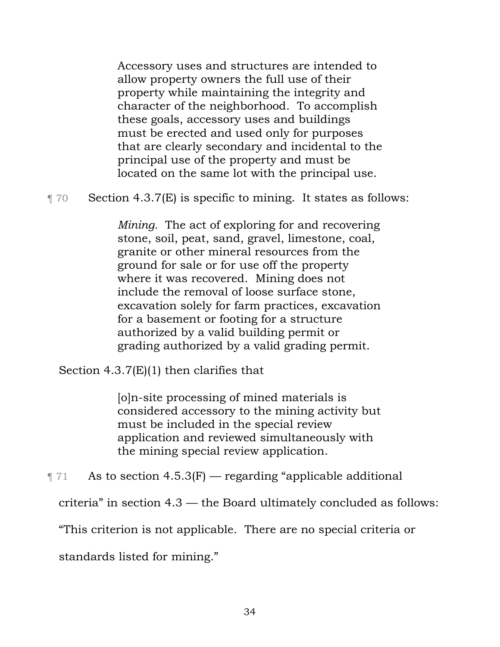Accessory uses and structures are intended to allow property owners the full use of their property while maintaining the integrity and character of the neighborhood. To accomplish these goals, accessory uses and buildings must be erected and used only for purposes that are clearly secondary and incidental to the principal use of the property and must be located on the same lot with the principal use.

¶ 70 Section 4.3.7(E) is specific to mining. It states as follows:

*Mining.* The act of exploring for and recovering stone, soil, peat, sand, gravel, limestone, coal, granite or other mineral resources from the ground for sale or for use off the property where it was recovered. Mining does not include the removal of loose surface stone, excavation solely for farm practices, excavation for a basement or footing for a structure authorized by a valid building permit or grading authorized by a valid grading permit.

Section 4.3.7(E)(1) then clarifies that

[o]n-site processing of mined materials is considered accessory to the mining activity but must be included in the special review application and reviewed simultaneously with the mining special review application.

 $\P$  71 As to section 4.5.3(F) — regarding "applicable additional

criteria" in section 4.3 — the Board ultimately concluded as follows:

"This criterion is not applicable. There are no special criteria or

standards listed for mining."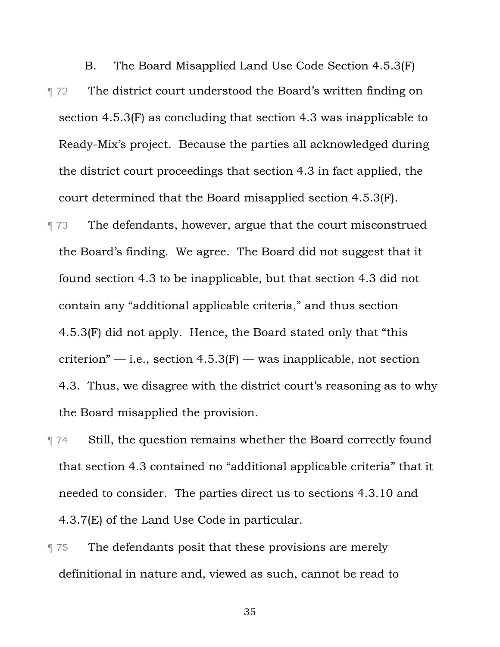B. The Board Misapplied Land Use Code Section 4.5.3(F) **The district court understood the Board's written finding on** section 4.5.3(F) as concluding that section 4.3 was inapplicable to Ready-Mix's project. Because the parties all acknowledged during the district court proceedings that section 4.3 in fact applied, the court determined that the Board misapplied section 4.5.3(F).

**The defendants, however, argue that the court misconstrued** the Board's finding. We agree. The Board did not suggest that it found section 4.3 to be inapplicable, but that section 4.3 did not contain any "additional applicable criteria," and thus section 4.5.3(F) did not apply. Hence, the Board stated only that "this criterion"  $-$  i.e., section 4.5.3(F)  $-$  was inapplicable, not section 4.3. Thus, we disagree with the district court's reasoning as to why the Board misapplied the provision.

¶ 74 Still, the question remains whether the Board correctly found that section 4.3 contained no "additional applicable criteria" that it needed to consider. The parties direct us to sections 4.3.10 and 4.3.7(E) of the Land Use Code in particular.

**The defendants posit that these provisions are merely** definitional in nature and, viewed as such, cannot be read to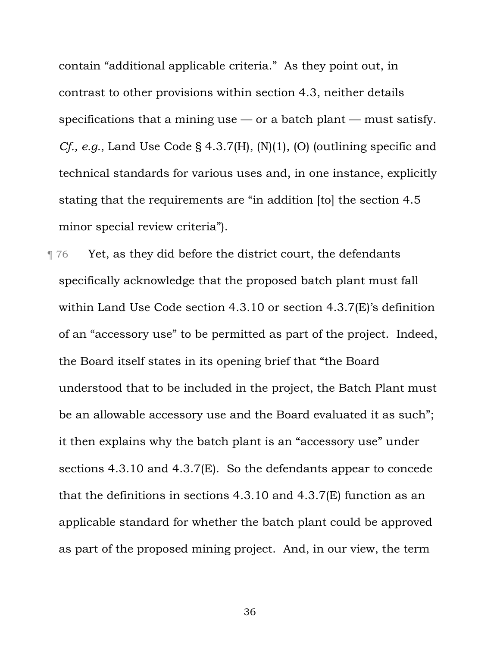contain "additional applicable criteria." As they point out, in contrast to other provisions within section 4.3, neither details specifications that a mining use  $-$  or a batch plant  $-$  must satisfy. *Cf., e.g.*, Land Use Code § 4.3.7(H), (N)(1), (O) (outlining specific and technical standards for various uses and, in one instance, explicitly stating that the requirements are "in addition [to] the section 4.5 minor special review criteria").

**The Property Studies** T<sub>76</sub> Yet, as they did before the district court, the defendants specifically acknowledge that the proposed batch plant must fall within Land Use Code section 4.3.10 or section 4.3.7(E)'s definition of an "accessory use" to be permitted as part of the project. Indeed, the Board itself states in its opening brief that "the Board understood that to be included in the project, the Batch Plant must be an allowable accessory use and the Board evaluated it as such"; it then explains why the batch plant is an "accessory use" under sections 4.3.10 and 4.3.7(E). So the defendants appear to concede that the definitions in sections 4.3.10 and 4.3.7(E) function as an applicable standard for whether the batch plant could be approved as part of the proposed mining project. And, in our view, the term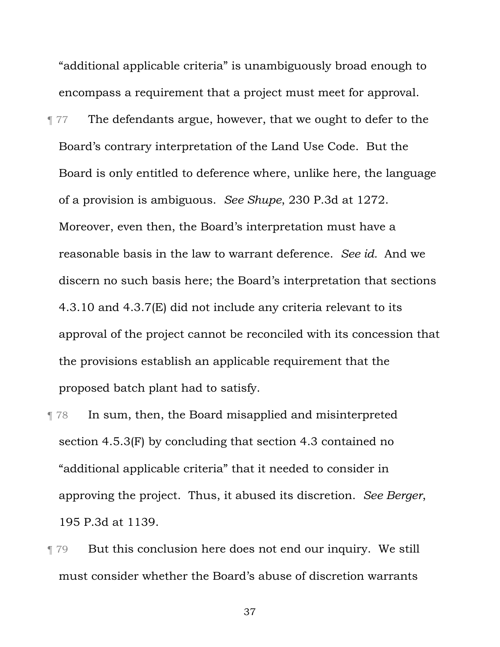"additional applicable criteria" is unambiguously broad enough to encompass a requirement that a project must meet for approval.

¶ 77 The defendants argue, however, that we ought to defer to the Board's contrary interpretation of the Land Use Code. But the Board is only entitled to deference where, unlike here, the language of a provision is ambiguous. *See Shupe*, 230 P.3d at 1272. Moreover, even then, the Board's interpretation must have a reasonable basis in the law to warrant deference. *See id.* And we discern no such basis here; the Board's interpretation that sections 4.3.10 and 4.3.7(E) did not include any criteria relevant to its approval of the project cannot be reconciled with its concession that the provisions establish an applicable requirement that the proposed batch plant had to satisfy.

- ¶ 78 In sum, then, the Board misapplied and misinterpreted section 4.5.3(F) by concluding that section 4.3 contained no "additional applicable criteria" that it needed to consider in approving the project. Thus, it abused its discretion. *See Berger*, 195 P.3d at 1139.
- ¶ 79 But this conclusion here does not end our inquiry. We still must consider whether the Board's abuse of discretion warrants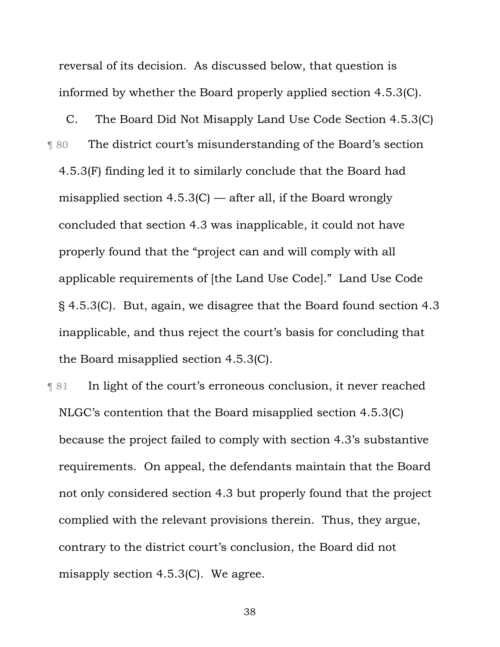reversal of its decision. As discussed below, that question is informed by whether the Board properly applied section 4.5.3(C).

C. The Board Did Not Misapply Land Use Code Section 4.5.3(C) ¶ 80 The district court's misunderstanding of the Board's section 4.5.3(F) finding led it to similarly conclude that the Board had misapplied section 4.5.3(C) — after all, if the Board wrongly concluded that section 4.3 was inapplicable, it could not have properly found that the "project can and will comply with all applicable requirements of [the Land Use Code]." Land Use Code § 4.5.3(C). But, again, we disagree that the Board found section 4.3 inapplicable, and thus reject the court's basis for concluding that the Board misapplied section 4.5.3(C).

¶ 81 In light of the court's erroneous conclusion, it never reached NLGC's contention that the Board misapplied section 4.5.3(C) because the project failed to comply with section 4.3's substantive requirements. On appeal, the defendants maintain that the Board not only considered section 4.3 but properly found that the project complied with the relevant provisions therein. Thus, they argue, contrary to the district court's conclusion, the Board did not misapply section 4.5.3(C). We agree.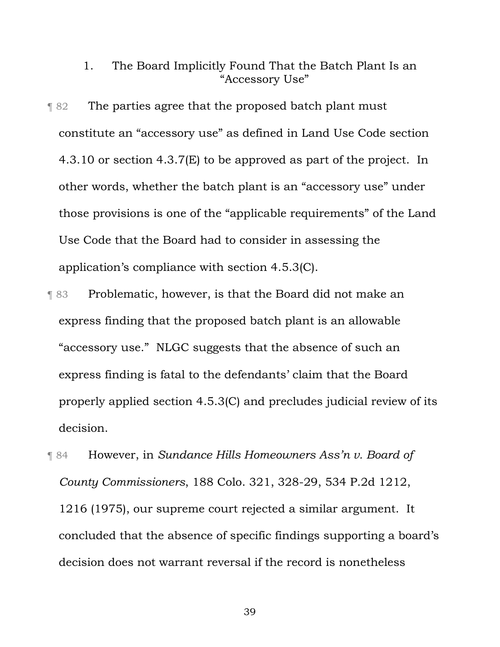1. The Board Implicitly Found That the Batch Plant Is an "Accessory Use"

¶ 82 The parties agree that the proposed batch plant must constitute an "accessory use" as defined in Land Use Code section 4.3.10 or section 4.3.7(E) to be approved as part of the project. In other words, whether the batch plant is an "accessory use" under those provisions is one of the "applicable requirements" of the Land Use Code that the Board had to consider in assessing the application's compliance with section 4.5.3(C).

- ¶ 83 Problematic, however, is that the Board did not make an express finding that the proposed batch plant is an allowable "accessory use." NLGC suggests that the absence of such an express finding is fatal to the defendants' claim that the Board properly applied section 4.5.3(C) and precludes judicial review of its decision.
- ¶ 84 However, in *Sundance Hills Homeowners Ass'n v. Board of County Commissioners*, 188 Colo. 321, 328-29, 534 P.2d 1212, 1216 (1975), our supreme court rejected a similar argument. It concluded that the absence of specific findings supporting a board's decision does not warrant reversal if the record is nonetheless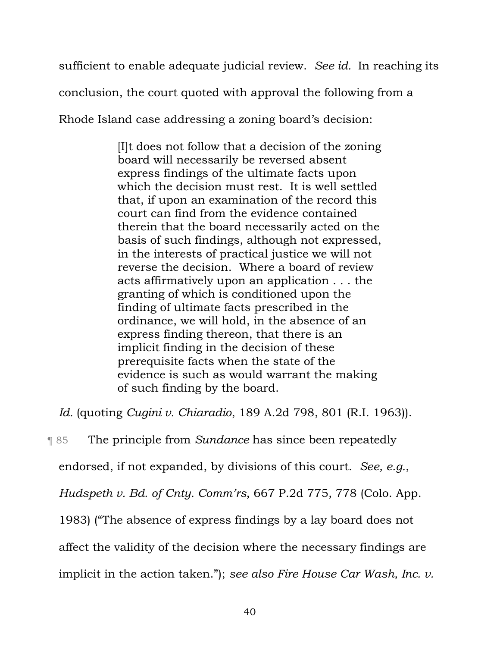sufficient to enable adequate judicial review. *See id.* In reaching its

conclusion, the court quoted with approval the following from a

Rhode Island case addressing a zoning board's decision:

[I]t does not follow that a decision of the zoning board will necessarily be reversed absent express findings of the ultimate facts upon which the decision must rest. It is well settled that, if upon an examination of the record this court can find from the evidence contained therein that the board necessarily acted on the basis of such findings, although not expressed, in the interests of practical justice we will not reverse the decision. Where a board of review acts affirmatively upon an application . . . the granting of which is conditioned upon the finding of ultimate facts prescribed in the ordinance, we will hold, in the absence of an express finding thereon, that there is an implicit finding in the decision of these prerequisite facts when the state of the evidence is such as would warrant the making of such finding by the board.

*Id.* (quoting *Cugini v. Chiaradio*, 189 A.2d 798, 801 (R.I. 1963)).

¶ 85 The principle from *Sundance* has since been repeatedly

endorsed, if not expanded, by divisions of this court. *See, e.g.*,

*Hudspeth v. Bd. of Cnty. Comm'rs*, 667 P.2d 775, 778 (Colo. App.

1983) ("The absence of express findings by a lay board does not

affect the validity of the decision where the necessary findings are

implicit in the action taken."); *see also Fire House Car Wash, Inc. v.*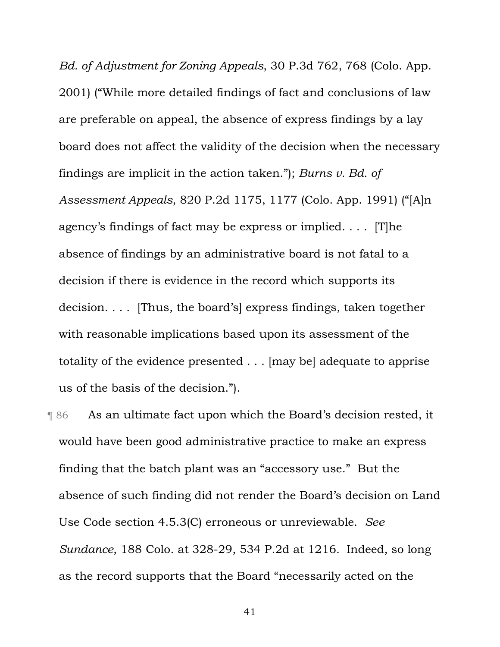*Bd. of Adjustment for Zoning Appeals*, 30 P.3d 762, 768 (Colo. App. 2001) ("While more detailed findings of fact and conclusions of law are preferable on appeal, the absence of express findings by a lay board does not affect the validity of the decision when the necessary findings are implicit in the action taken."); *Burns v. Bd. of Assessment Appeals*, 820 P.2d 1175, 1177 (Colo. App. 1991) ("[A]n agency's findings of fact may be express or implied. . . . [T]he absence of findings by an administrative board is not fatal to a decision if there is evidence in the record which supports its decision. . . . [Thus, the board's] express findings, taken together with reasonable implications based upon its assessment of the totality of the evidence presented . . . [may be] adequate to apprise us of the basis of the decision.").

¶ 86 As an ultimate fact upon which the Board's decision rested, it would have been good administrative practice to make an express finding that the batch plant was an "accessory use." But the absence of such finding did not render the Board's decision on Land Use Code section 4.5.3(C) erroneous or unreviewable. *See Sundance*, 188 Colo. at 328-29, 534 P.2d at 1216.Indeed, so long as the record supports that the Board "necessarily acted on the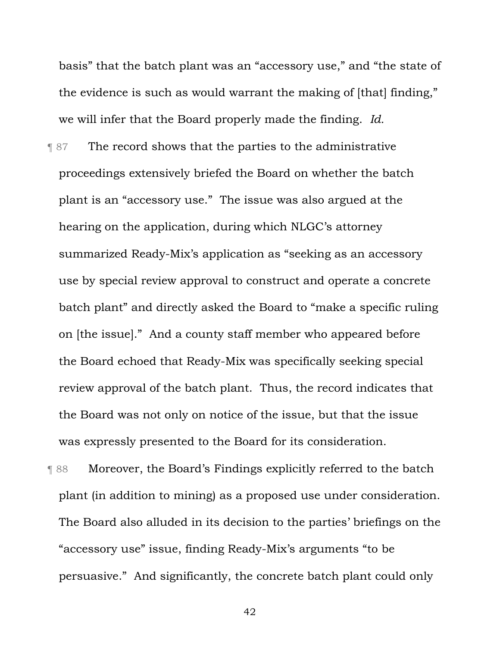basis" that the batch plant was an "accessory use," and "the state of the evidence is such as would warrant the making of [that] finding," we will infer that the Board properly made the finding. *Id.* 

**The record shows that the parties to the administrative** proceedings extensively briefed the Board on whether the batch plant is an "accessory use." The issue was also argued at the hearing on the application, during which NLGC's attorney summarized Ready-Mix's application as "seeking as an accessory use by special review approval to construct and operate a concrete batch plant" and directly asked the Board to "make a specific ruling on [the issue]." And a county staff member who appeared before the Board echoed that Ready-Mix was specifically seeking special review approval of the batch plant. Thus, the record indicates that the Board was not only on notice of the issue, but that the issue was expressly presented to the Board for its consideration.

¶ 88 Moreover, the Board's Findings explicitly referred to the batch plant (in addition to mining) as a proposed use under consideration. The Board also alluded in its decision to the parties' briefings on the "accessory use" issue, finding Ready-Mix's arguments "to be persuasive." And significantly, the concrete batch plant could only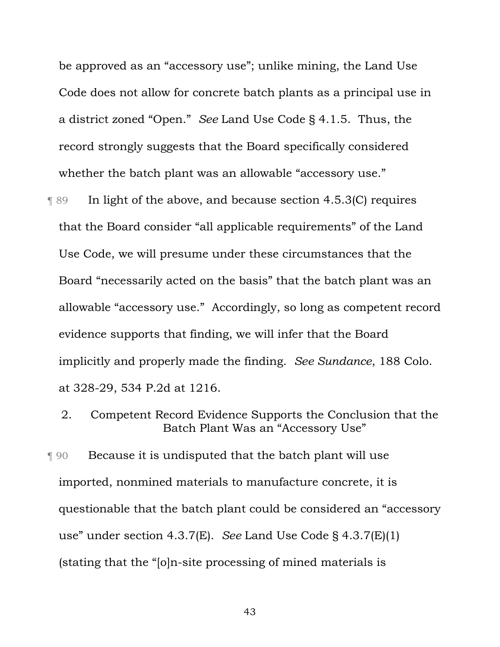be approved as an "accessory use"; unlike mining, the Land Use Code does not allow for concrete batch plants as a principal use in a district zoned "Open." *See* Land Use Code § 4.1.5. Thus, the record strongly suggests that the Board specifically considered whether the batch plant was an allowable "accessory use."

- ¶ 89 In light of the above, and because section 4.5.3(C) requires that the Board consider "all applicable requirements" of the Land Use Code, we will presume under these circumstances that the Board "necessarily acted on the basis" that the batch plant was an allowable "accessory use." Accordingly, so long as competent record evidence supports that finding, we will infer that the Board implicitly and properly made the finding. *See Sundance*, 188 Colo. at 328-29, 534 P.2d at 1216.
	- 2. Competent Record Evidence Supports the Conclusion that the Batch Plant Was an "Accessory Use"

¶ 90 Because it is undisputed that the batch plant will use imported, nonmined materials to manufacture concrete, it is questionable that the batch plant could be considered an "accessory use" under section 4.3.7(E). *See* Land Use Code § 4.3.7(E)(1) (stating that the "[o]n-site processing of mined materials is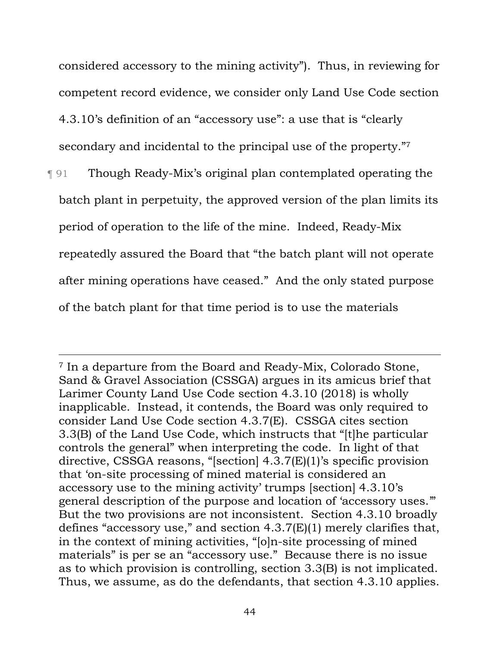considered accessory to the mining activity"). Thus, in reviewing for competent record evidence, we consider only Land Use Code section 4.3.10's definition of an "accessory use": a use that is "clearly secondary and incidental to the principal use of the property."7

¶ 91 Though Ready-Mix's original plan contemplated operating the batch plant in perpetuity, the approved version of the plan limits its period of operation to the life of the mine. Indeed, Ready-Mix repeatedly assured the Board that "the batch plant will not operate after mining operations have ceased." And the only stated purpose of the batch plant for that time period is to use the materials

<sup>7</sup> In a departure from the Board and Ready-Mix, Colorado Stone, Sand & Gravel Association (CSSGA) argues in its amicus brief that Larimer County Land Use Code section 4.3.10 (2018) is wholly inapplicable. Instead, it contends, the Board was only required to consider Land Use Code section 4.3.7(E). CSSGA cites section 3.3(B) of the Land Use Code, which instructs that "[t]he particular controls the general" when interpreting the code. In light of that directive, CSSGA reasons, "[section] 4.3.7(E)(1)'s specific provision that 'on-site processing of mined material is considered an accessory use to the mining activity' trumps [section] 4.3.10's general description of the purpose and location of 'accessory uses.'" But the two provisions are not inconsistent. Section 4.3.10 broadly defines "accessory use," and section 4.3.7(E)(1) merely clarifies that, in the context of mining activities, "[o]n-site processing of mined materials" is per se an "accessory use." Because there is no issue as to which provision is controlling, section 3.3(B) is not implicated. Thus, we assume, as do the defendants, that section 4.3.10 applies.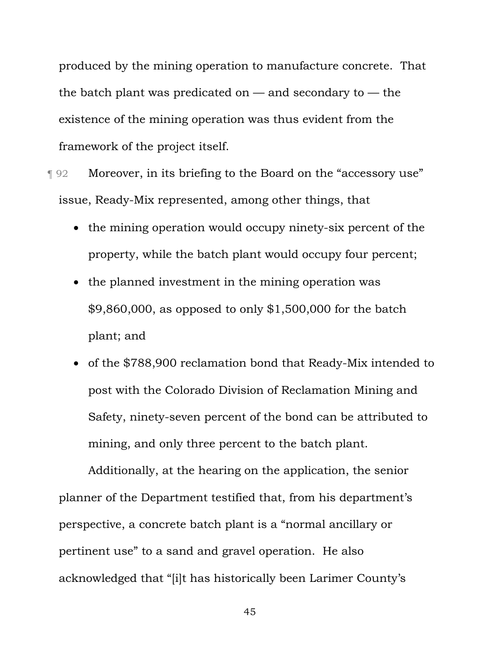produced by the mining operation to manufacture concrete. That the batch plant was predicated on  $-$  and secondary to  $-$  the existence of the mining operation was thus evident from the framework of the project itself.

**T** 92 Moreover, in its briefing to the Board on the "accessory use" issue, Ready-Mix represented, among other things, that

- the mining operation would occupy ninety-six percent of the property, while the batch plant would occupy four percent;
- the planned investment in the mining operation was \$9,860,000, as opposed to only \$1,500,000 for the batch plant; and
- of the \$788,900 reclamation bond that Ready-Mix intended to post with the Colorado Division of Reclamation Mining and Safety, ninety-seven percent of the bond can be attributed to mining, and only three percent to the batch plant.

Additionally, at the hearing on the application, the senior planner of the Department testified that, from his department's perspective, a concrete batch plant is a "normal ancillary or pertinent use" to a sand and gravel operation. He also acknowledged that "[i]t has historically been Larimer County's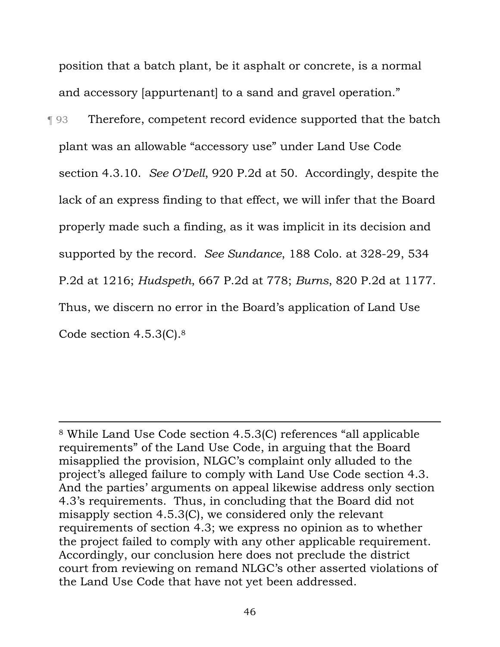position that a batch plant, be it asphalt or concrete, is a normal and accessory [appurtenant] to a sand and gravel operation."

¶ 93 Therefore, competent record evidence supported that the batch plant was an allowable "accessory use" under Land Use Code section 4.3.10. *See O'Dell*, 920 P.2d at 50. Accordingly, despite the lack of an express finding to that effect, we will infer that the Board properly made such a finding, as it was implicit in its decision and supported by the record. *See Sundance*, 188 Colo. at 328-29, 534 P.2d at 1216; *Hudspeth*, 667 P.2d at 778; *Burns*, 820 P.2d at 1177. Thus, we discern no error in the Board's application of Land Use Code section 4.5.3(C).8

<sup>8</sup> While Land Use Code section 4.5.3(C) references "all applicable requirements" of the Land Use Code, in arguing that the Board misapplied the provision, NLGC's complaint only alluded to the project's alleged failure to comply with Land Use Code section 4.3. And the parties' arguments on appeal likewise address only section 4.3's requirements. Thus, in concluding that the Board did not misapply section 4.5.3(C), we considered only the relevant requirements of section 4.3; we express no opinion as to whether the project failed to comply with any other applicable requirement. Accordingly, our conclusion here does not preclude the district court from reviewing on remand NLGC's other asserted violations of the Land Use Code that have not yet been addressed.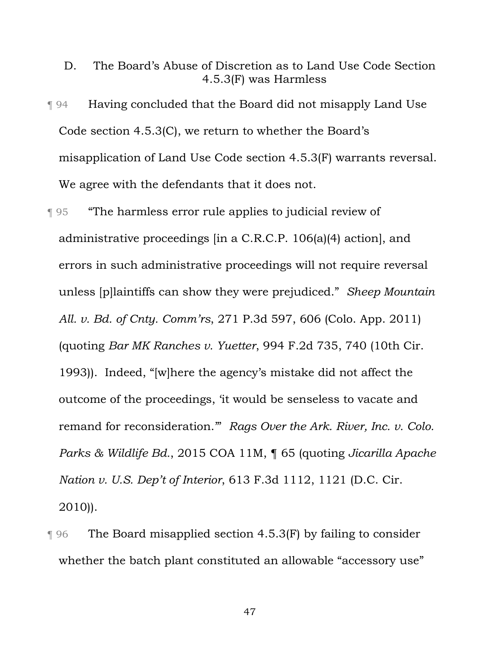- D. The Board's Abuse of Discretion as to Land Use Code Section 4.5.3(F) was Harmless
- ¶ 94 Having concluded that the Board did not misapply Land Use Code section 4.5.3(C), we return to whether the Board's misapplication of Land Use Code section 4.5.3(F) warrants reversal. We agree with the defendants that it does not.
- ¶ 95 "The harmless error rule applies to judicial review of administrative proceedings [in a C.R.C.P. 106(a)(4) action], and errors in such administrative proceedings will not require reversal unless [p]laintiffs can show they were prejudiced." *Sheep Mountain All. v. Bd. of Cnty. Comm'rs*, 271 P.3d 597, 606 (Colo. App. 2011) (quoting *Bar MK Ranches v. Yuetter*, 994 F.2d 735, 740 (10th Cir. 1993)). Indeed, "[w]here the agency's mistake did not affect the outcome of the proceedings, 'it would be senseless to vacate and remand for reconsideration.'" *Rags Over the Ark. River, Inc. v. Colo. Parks & Wildlife Bd.*, 2015 COA 11M, ¶ 65 (quoting *Jicarilla Apache Nation v. U.S. Dep't of Interior*, 613 F.3d 1112, 1121 (D.C. Cir. 2010)).
- ¶ 96 The Board misapplied section 4.5.3(F) by failing to consider whether the batch plant constituted an allowable "accessory use"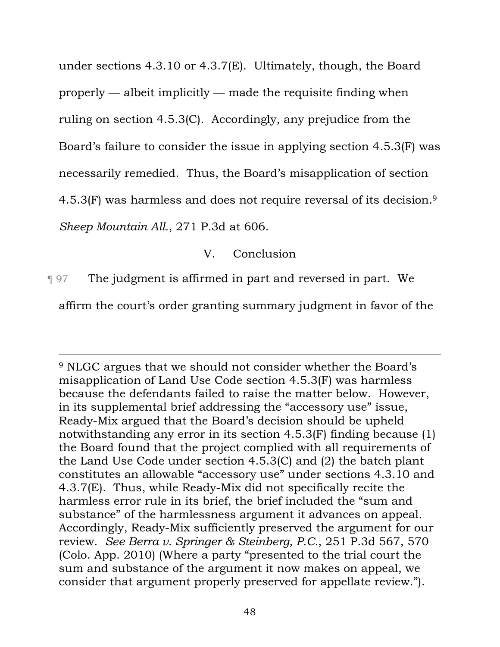under sections 4.3.10 or 4.3.7(E). Ultimately, though, the Board properly — albeit implicitly — made the requisite finding when ruling on section 4.5.3(C). Accordingly, any prejudice from the Board's failure to consider the issue in applying section 4.5.3(F) was necessarily remedied. Thus, the Board's misapplication of section 4.5.3(F) was harmless and does not require reversal of its decision.9 *Sheep Mountain All.*, 271 P.3d at 606.

V. Conclusion

¶ 97 The judgment is affirmed in part and reversed in part. We affirm the court's order granting summary judgment in favor of the

<sup>9</sup> NLGC argues that we should not consider whether the Board's misapplication of Land Use Code section 4.5.3(F) was harmless because the defendants failed to raise the matter below. However, in its supplemental brief addressing the "accessory use" issue, Ready-Mix argued that the Board's decision should be upheld notwithstanding any error in its section 4.5.3(F) finding because (1) the Board found that the project complied with all requirements of the Land Use Code under section 4.5.3(C) and (2) the batch plant constitutes an allowable "accessory use" under sections 4.3.10 and 4.3.7(E). Thus, while Ready-Mix did not specifically recite the harmless error rule in its brief, the brief included the "sum and substance" of the harmlessness argument it advances on appeal. Accordingly, Ready-Mix sufficiently preserved the argument for our review. *See Berra v. Springer & Steinberg, P.C.*, 251 P.3d 567, 570 (Colo. App. 2010) (Where a party "presented to the trial court the sum and substance of the argument it now makes on appeal, we consider that argument properly preserved for appellate review.").